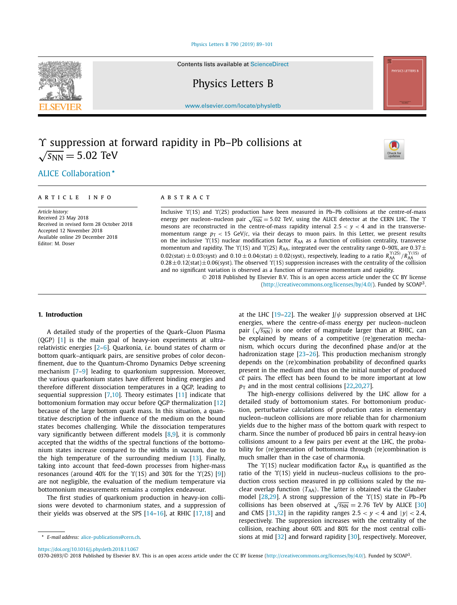[Physics Letters B 790 \(2019\) 89–101](https://doi.org/10.1016/j.physletb.2018.11.067)

Contents lists available at [ScienceDirect](http://www.ScienceDirect.com/)

Physics Letters B

[www.elsevier.com/locate/physletb](http://www.elsevier.com/locate/physletb)

# *ϒ* suppression at forward rapidity in Pb–Pb collisions at  $\sqrt{s_{NN}} = 5.02$  TeV



# .ALICE [Collaboration](#page-7-0)

#### A R T I C L E I N F O A B S T R A C T

*Article history:* Received 23 May 2018 Received in revised form 28 October 2018 Accepted 12 November 2018 Available online 29 December 2018 Editor: M. Doser

Inclusive *ϒ*(1S) and *ϒ*(2S) production have been measured in Pb–Pb collisions at the centre-of-mass energy per nucleon–nucleon pair  $\sqrt{s_{NN}}$  = 5.02 TeV, using the ALICE detector at the CERN LHC. The *Υ* mesons are reconstructed in the centre-of-mass rapidity interval  $2.5 < y < 4$  and in the transversemomentum range  $p_T < 15$  GeV/*c*, via their decays to muon pairs. In this Letter, we present results on the inclusive *ϒ*(1S) nuclear modification factor *R*AA as a function of collision centrality, transverse momentum and rapidity. The *Υ*(1S) and *Υ*(2S) *R*<sub>AA</sub>, integrated over the centrality range 0–90%, are 0.37 ±  $0.02$ (stat)  $\pm$  0.03(syst) and  $0.10\pm0.04$ (stat)  $\pm$  0.02(syst), respectively, leading to a ratio  $R_{AA}^{\Upsilon(2S)}/R_{AA}^{\Upsilon(1S)}$  of 0*.*28±0*.*12(stat)±0*.*06(syst). The observed *ϒ*(1S) suppression increases with the centrality of the collision and no significant variation is observed as a function of transverse momentum and rapidity.

© 2018 Published by Elsevier B.V. This is an open access article under the CC BY license [\(http://creativecommons.org/licenses/by/4.0/\)](http://creativecommons.org/licenses/by/4.0/). Funded by SCOAP<sup>3</sup>.

A detailed study of the properties of the Quark–Gluon Plasma (QGP) [\[1\]](#page-5-0) is the main goal of heavy-ion experiments at ultrarelativistic energies [\[2–6\]](#page-5-0). Quarkonia, *i.e.* bound states of charm or bottom quark–antiquark pairs, are sensitive probes of color deconfinement, due to the Quantum-Chromo Dynamics Debye screening mechanism [\[7–9\]](#page-5-0) leading to quarkonium suppression. Moreover, the various quarkonium states have different binding energies and therefore different dissociation temperatures in a QGP, leading to sequential suppression  $[7,10]$  $[7,10]$ . Theory estimates  $[11]$  indicate that bottomonium formation may occur before QGP thermalization [\[12\]](#page-6-0) because of the large bottom quark mass. In this situation, a quantitative description of the influence of the medium on the bound states becomes challenging. While the dissociation temperatures vary significantly between different models  $[8,9]$ , it is commonly accepted that the widths of the spectral functions of the bottomonium states increase compared to the widths in vacuum, due to the high temperature of the surrounding medium [\[13\]](#page-6-0). Finally, taking into account that feed-down processes from higher-mass resonances (around 40% for the *ϒ*(1S) and 30% for the *ϒ*(2S) [\[9\]](#page-5-0)) are not negligible, the evaluation of the medium temperature via bottomonium measurements remains a complex endeavour.

The first studies of quarkonium production in heavy-ion collisions were devoted to charmonium states, and a suppression of their yields was observed at the SPS  $[14-16]$ , at RHIC  $[17,18]$  and at the LHC [\[19–22\]](#page-6-0). The weaker J/*ψ* suppression observed at LHC energies, where the centre-of-mass energy per nucleon–nucleon pair  $(\sqrt{s_{NN}})$  is one order of magnitude larger than at RHIC, can be explained by means of a competitive (re)generation mechanism, which occurs during the deconfined phase and/or at the hadronization stage [\[23–26\]](#page-6-0). This production mechanism strongly depends on the (re)combination probability of deconfined quarks present in the medium and thus on the initial number of produced cc pairs. The effect has been found to be more important at low  $p_T$  and in the most central collisions [\[22,20,27\]](#page-6-0).

The high-energy collisions delivered by the LHC allow for a detailed study of bottomonium states. For bottomonium production, perturbative calculations of production rates in elementary nucleon–nucleon collisions are more reliable than for charmonium yields due to the higher mass of the bottom quark with respect to charm. Since the number of produced bb pairs in central heavy-ion collisions amount to a few pairs per event at the LHC, the probability for (re)generation of bottomonia through (re)combination is much smaller than in the case of charmonia.

The *Y*(1S) nuclear modification factor *R*<sub>AA</sub> is quantified as the ratio of the *ϒ*(1S) yield in nucleus–nucleus collisions to the production cross section measured in pp collisions scaled by the nuclear overlap function  $\langle T_{AA} \rangle$ . The latter is obtained via the Glauber model [\[28,29\]](#page-6-0). A strong suppression of the *ϒ*(1S) state in Pb–Pb collisions has been observed at  $\sqrt{s_{NN}} = 2.76$  TeV by ALICE [\[30\]](#page-6-0) and CMS [\[31,32\]](#page-6-0) in the rapidity ranges  $2.5 < y < 4$  and  $|y| < 2.4$ , respectively. The suppression increases with the centrality of the collision, reaching about 60% and 80% for the most central collisions at mid [\[32\]](#page-6-0) and forward rapidity [\[30\]](#page-6-0), respectively. Moreover,

<https://doi.org/10.1016/j.physletb.2018.11.067>

0370-2693/© 2018 Published by Elsevier B.V. This is an open access article under the CC BY license [\(http://creativecommons.org/licenses/by/4.0/](http://creativecommons.org/licenses/by/4.0/)). Funded by SCOAP3.



**<sup>1.</sup> Introduction**

*E-mail address:* [alice-publications@cern.ch.](mailto:alice-publications@cern.ch)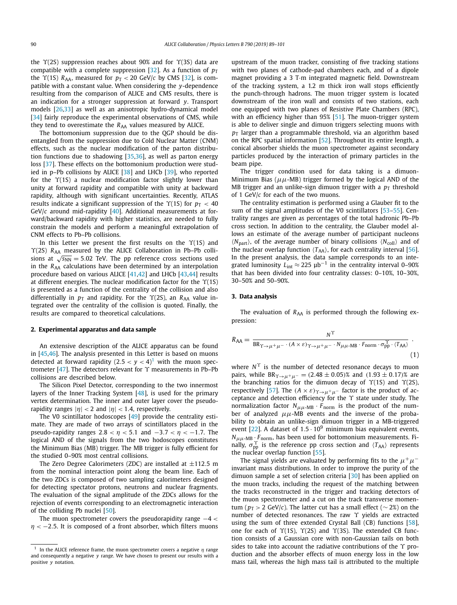the *ϒ*(2S) suppression reaches about 90% and for *ϒ*(3S) data are compatible with a complete suppression [\[32\]](#page-6-0). As a function of  $p<sub>T</sub>$ the  $\Upsilon(1S)$  *R*<sub>AA</sub>, measured for  $p_T < 20$  GeV/*c* by CMS [\[32\]](#page-6-0), is compatible with a constant value. When considering the *y*-dependence resulting from the comparison of ALICE and CMS results, there is an indication for a stronger suppression at forward *y*. Transport models [\[26,33\]](#page-6-0) as well as an anisotropic hydro-dynamical model [\[34\]](#page-6-0) fairly reproduce the experimental observations of CMS, while they tend to overestimate the  $R_{AA}$  values measured by ALICE.

The bottomonium suppression due to the QGP should be disentangled from the suppression due to Cold Nuclear Matter (CNM) effects, such as the nuclear modification of the parton distribution functions due to shadowing [\[35,36\]](#page-6-0), as well as parton energy loss [\[37\]](#page-6-0). These effects on the bottomonium production were studied in p–Pb collisions by ALICE [\[38\]](#page-6-0) and LHCb [\[39\]](#page-6-0), who reported for the *ϒ*(1S) a nuclear modification factor slightly lower than unity at forward rapidity and compatible with unity at backward rapidity, although with significant uncertainties. Recently, ATLAS results indicate a significant suppression of the  $\Upsilon(1S)$  for  $p_T < 40$ GeV/*c* around mid-rapidity [\[40\]](#page-6-0). Additional measurements at forward/backward rapidity with higher statistics, are needed to fully constrain the models and perform a meaningful extrapolation of CNM effects to Pb–Pb collisions.

In this Letter we present the first results on the *ϒ*(1S) and *ϒ*(2S) *R*AA measured by the ALICE Collaboration in Pb–Pb collisions at  $\sqrt{s_{NN}}$  = 5.02 TeV. The pp reference cross sections used in the *R*<sub>AA</sub> calculations have been determined by an interpolation procedure based on various ALICE [\[41,42\]](#page-6-0) and LHCb [\[43,44\]](#page-6-0) results at different energies. The nuclear modification factor for the *ϒ*(1S) is presented as a function of the centrality of the collision and also differentially in  $p<sub>T</sub>$  and rapidity. For the  $\Upsilon(2S)$ , an  $R<sub>AA</sub>$  value integrated over the centrality of the collision is quoted. Finally, the results are compared to theoretical calculations.

#### **2. Experimental apparatus and data sample**

An extensive description of the ALICE apparatus can be found in [\[45,46\]](#page-6-0). The analysis presented in this Letter is based on muons detected at forward rapidity  $(2.5 < y < 4)^{1}$  with the muon spectrometer [\[47\]](#page-6-0). The detectors relevant for *ϒ* measurements in Pb–Pb collisions are described below.

The Silicon Pixel Detector, corresponding to the two innermost layers of the Inner Tracking System [\[48\]](#page-6-0), is used for the primary vertex determination. The inner and outer layer cover the pseudorapidity ranges  $|\eta| < 2$  and  $|\eta| < 1.4$ , respectively.

The V0 scintillator hodoscopes [\[49\]](#page-6-0) provide the centrality estimate. They are made of two arrays of scintillators placed in the pseudo-rapidity ranges  $2.8 < \eta < 5.1$  and  $-3.7 < \eta < -1.7$ . The logical AND of the signals from the two hodoscopes constitutes the Minimum Bias (MB) trigger. The MB trigger is fully efficient for the studied 0–90% most central collisions.

The Zero Degree Calorimeters (ZDC) are installed at ±112*.*5 m from the nominal interaction point along the beam line. Each of the two ZDCs is composed of two sampling calorimeters designed for detecting spectator protons, neutrons and nuclear fragments. The evaluation of the signal amplitude of the ZDCs allows for the rejection of events corresponding to an electromagnetic interaction of the colliding Pb nuclei [\[50\]](#page-6-0).

The muon spectrometer covers the pseudorapidity range −4 *< η* < −2.5. It is composed of a front absorber, which filters muons upstream of the muon tracker, consisting of five tracking stations with two planes of cathode-pad chambers each, and of a dipole magnet providing a 3 T·m integrated magnetic field. Downstream of the tracking system, a 1.2 m thick iron wall stops efficiently the punch-through hadrons. The muon trigger system is located downstream of the iron wall and consists of two stations, each one equipped with two planes of Resistive Plate Chambers (RPC), with an efficiency higher than 95% [\[51\]](#page-6-0). The muon-trigger system is able to deliver single and dimuon triggers selecting muons with  $p_T$  larger than a programmable threshold, via an algorithm based on the RPC spatial information [\[52\]](#page-6-0). Throughout its entire length, a conical absorber shields the muon spectrometer against secondary particles produced by the interaction of primary particles in the beam pipe.

The trigger condition used for data taking is a dimuon-Minimum Bias ( $\mu\mu$ -MB) trigger formed by the logical AND of the MB trigger and an unlike-sign dimuon trigger with a  $p<sub>T</sub>$  threshold of 1 GeV/*c* for each of the two muons.

The centrality estimation is performed using a Glauber fit to the sum of the signal amplitudes of the V0 scintillators [\[53–55\]](#page-6-0). Centrality ranges are given as percentages of the total hadronic Pb–Pb cross section. In addition to the centrality, the Glauber model allows an estimate of the average number of participant nucleons  $\langle N_{\text{part}} \rangle$ , of the average number of binary collisions  $\langle N_{\text{coll}} \rangle$  and of the nuclear overlap function  $\langle T_{AA} \rangle$ , for each centrality interval [\[56\]](#page-6-0). In the present analysis, the data sample corresponds to an integrated luminosity  $L_{int} \approx 225 \mu b^{-1}$  in the centrality interval 0–90% that has been divided into four centrality classes: 0–10%, 10–30%, 30–50% and 50–90%.

#### **3. Data analysis**

The evaluation of *R*<sub>AA</sub> is performed through the following expression:

$$
R_{AA} = \frac{N^{\Upsilon}}{BR_{\Upsilon \to \mu^+ \mu^-} \cdot (A \times \varepsilon)_{\Upsilon \to \mu^+ \mu^-} \cdot N_{\mu\mu\text{-MB}} \cdot F_{\text{norm}} \cdot \sigma_{\text{pp}}^{\Upsilon} \cdot (T_{AA})}
$$
\n(1)

where *N*<sup> $\Upsilon$ </sup> is the number of detected resonance decays to muon pairs, while  $BR_{\Upsilon \to \mu^+ \mu^-} = (2.48 \pm 0.05)$ % and  $(1.93 \pm 0.17)$ % are the branching ratios for the dimuon decay of *ϒ*(1S) and *ϒ*(2S), respectively [\[57\]](#page-6-0). The  $(A \times \varepsilon)_{\Upsilon \to \mu^+ \mu^-}$  factor is the product of acceptance and detection efficiency for the *ϒ* state under study. The normalization factor  $N_{\mu\mu\text{-MB}} \cdot F_{\text{norm}}$  is the product of the number of analyzed  $\mu\mu$ -MB events and the inverse of the probability to obtain an unlike-sign dimuon trigger in a MB-triggered event  $[22]$ . A dataset of  $1.5 \cdot 10^9$  minimum bias equivalent events,  $N_{\mu\mu\text{-MB}} \cdot F_{\text{norm}}$ , has been used for bottomonium measurements. Finally,  $\sigma_{\rm pp}^{\Upsilon}$  is the reference pp cross section and  $\langle T_{AA} \rangle$  represents the nuclear overlap function  $[55]$ .

The signal yields are evaluated by performing fits to the  $\mu^+\mu^$ invariant mass distributions. In order to improve the purity of the dimuon sample a set of selection criteria [\[30\]](#page-6-0) has been applied on the muon tracks, including the request of the matching between the tracks reconstructed in the trigger and tracking detectors of the muon spectrometer and a cut on the track transverse momentum ( $p_T > 2$  GeV/*c*). The latter cut has a small effect ( $\sim$  2%) on the number of detected resonances. The raw *ϒ* yields are extracted using the sum of three extended Crystal Ball (CB) functions [\[58\]](#page-6-0), one for each of *ϒ*(1S), *ϒ*(2S) and *ϒ*(3S). The extended CB function consists of a Gaussian core with non-Gaussian tails on both sides to take into account the radiative contributions of the *ϒ* production and the absorber effects of muon energy loss in the low mass tail, whereas the high mass tail is attributed to the multiple

<sup>&</sup>lt;sup>1</sup> In the ALICE reference frame, the muon spectrometer covers a negative  $\eta$  range and consequently a negative *y* range. We have chosen to present our results with a positive *y* notation.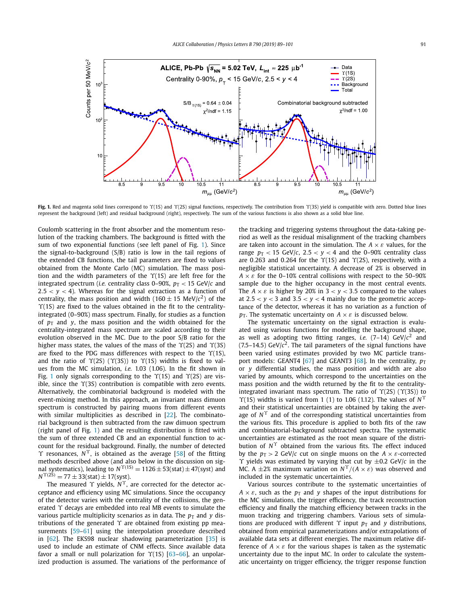

**Fig. 1.** Red and magenta solid lines correspond to *ϒ*(1S) and *ϒ*(2S) signal functions, respectively. The contribution from *ϒ*(3S) yield is compatible with zero. Dotted blue lines represent the background (left) and residual background (right), respectively. The sum of the various functions is also shown as a solid blue line.

Coulomb scattering in the front absorber and the momentum resolution of the tracking chambers. The background is fitted with the sum of two exponential functions (see left panel of Fig. 1). Since the signal-to-background (S/B) ratio is low in the tail regions of the extended CB functions, the tail parameters are fixed to values obtained from the Monte Carlo (MC) simulation. The mass position and the width parameters of the *ϒ*(1S) are left free for the integrated spectrum (*i.e.* centrality class 0–90%,  $p_T < 15$  GeV/ $c$  and  $2.5 < y < 4$ ). Whereas for the signal extraction as a function of centrality, the mass position and width (160  $\pm$  15 MeV/ $c<sup>2</sup>$ ) of the *ϒ*(1S) are fixed to the values obtained in the fit to the centralityintegrated (0–90%) mass spectrum. Finally, for studies as a function of  $p_T$  and *y*, the mass position and the width obtained for the centrality-integrated mass spectrum are scaled according to their evolution observed in the MC. Due to the poor S/B ratio for the higher mass states, the values of the mass of the *ϒ*(2S) and *ϒ*(3S) are fixed to the PDG mass differences with respect to the *ϒ*(1S), and the ratio of *ϒ*(2S) (*ϒ*(3S)) to *ϒ*(1S) widths is fixed to values from the MC simulation, *i.e.* 1.03 (1.06). In the fit shown in Fig. 1 only signals corresponding to the *ϒ*(1S) and *ϒ*(2S) are visible, since the *ϒ*(3S) contribution is compatible with zero events. Alternatively, the combinatorial background is modeled with the event-mixing method. In this approach, an invariant mass dimuon spectrum is constructed by pairing muons from different events with similar multiplicities as described in [\[22\]](#page-6-0). The combinatorial background is then subtracted from the raw dimuon spectrum (right panel of Fig. 1) and the resulting distribution is fitted with the sum of three extended CB and an exponential function to account for the residual background. Finally, the number of detected *ϒ* resonances, *Nϒ*, is obtained as the average [\[58\]](#page-6-0) of the fitting methods described above (and also below in the discussion on signal systematics), leading to  $N^{\Upsilon(1S)} = 1126 \pm 53$ (stat)  $\pm 47$ (syst) and  $N^{\Upsilon(2\bar{S})} = 77 \pm 33(stat) \pm 17(syst).$ 

The measured *ϒ* yields, *Nϒ*, are corrected for the detector acceptance and efficiency using MC simulations. Since the occupancy of the detector varies with the centrality of the collisions, the generated *ϒ* decays are embedded into real MB events to simulate the various particle multiplicity scenarios as in data. The  $p_T$  and *y* distributions of the generated *ϒ* are obtained from existing pp measurements [59-61] using the interpolation procedure described in [\[62\]](#page-6-0). The EKS98 nuclear shadowing parameterization [\[35\]](#page-6-0) is used to include an estimate of CNM effects. Since available data favor a small or null polarization for *ϒ*(1S) [\[63–66\]](#page-6-0), an unpolarized production is assumed. The variations of the performance of the tracking and triggering systems throughout the data-taking period as well as the residual misalignment of the tracking chambers are taken into account in the simulation. The  $A \times \varepsilon$  values, for the range  $p_T < 15$  GeV/*c*,  $2.5 < y < 4$  and the 0–90% centrality class are 0*.*263 and 0*.*264 for the *ϒ*(1S) and *ϒ*(2S), respectively, with a negligible statistical uncertainty. A decrease of 2% is observed in  $A \times \varepsilon$  for the 0–10% central collisions with respect to the 50–90% sample due to the higher occupancy in the most central events. The  $A \times \varepsilon$  is higher by 20% in  $3 < y < 3.5$  compared to the values at  $2.5 < y < 3$  and  $3.5 < y < 4$  mainly due to the geometric acceptance of the detector, whereas it has no variation as a function of  $p<sub>T</sub>$ . The systematic uncertainty on  $A \times \varepsilon$  is discussed below.

The systematic uncertainty on the signal extraction is evaluated using various functions for modelling the background shape, as well as adopting two fitting ranges, *i.e.* (7–14) GeV/*c*<sup>2</sup> and  $(7.5-14.5)$  GeV/ $c<sup>2</sup>$ . The tail parameters of the signal functions have been varied using estimates provided by two MC particle trans-port models: GEANT4 [\[67\]](#page-6-0) and GEANT3 [\[68\]](#page-7-0). In the centrality,  $p_T$ or *y* differential studies, the mass position and width are also varied by amounts, which correspond to the uncertainties on the mass position and the width returned by the fit to the centralityintegrated invariant mass spectrum. The ratio of *ϒ*(2S) (*ϒ*(3S)) to *ϒ*(1S) widths is varied from 1 (1) to 1.06 (1.12). The values of *N<sup>ϒ</sup>* and their statistical uncertainties are obtained by taking the average of  $N^{\Upsilon}$  and of the corresponding statistical uncertainties from the various fits. This procedure is applied to both fits of the raw and combinatorial-background subtracted spectra. The systematic uncertainties are estimated as the root mean square of the distribution of *N<sup>ϒ</sup>* obtained from the various fits. The effect induced by the  $p_T > 2$  GeV/*c* cut on single muons on the  $A \times \varepsilon$ -corrected *ϒ* yields was estimated by varying that cut by ±0.2 GeV/*c* in the MC. A  $\pm$ 2% maximum variation on  $N^{\Upsilon}/(A \times \varepsilon)$  was observed and included in the systematic uncertainties.

Various sources contribute to the systematic uncertainties of  $A \times \varepsilon$ , such as the  $p_T$  and *y* shapes of the input distributions for the MC simulations, the trigger efficiency, the track reconstruction efficiency and finally the matching efficiency between tracks in the muon tracking and triggering chambers. Various sets of simulations are produced with different  $\Upsilon$  input  $p_T$  and *y* distributions, obtained from empirical parameterizations and/or extrapolations of available data sets at different energies. The maximum relative difference of  $A \times \varepsilon$  for the various shapes is taken as the systematic uncertainty due to the input MC. In order to calculate the systematic uncertainty on trigger efficiency, the trigger response function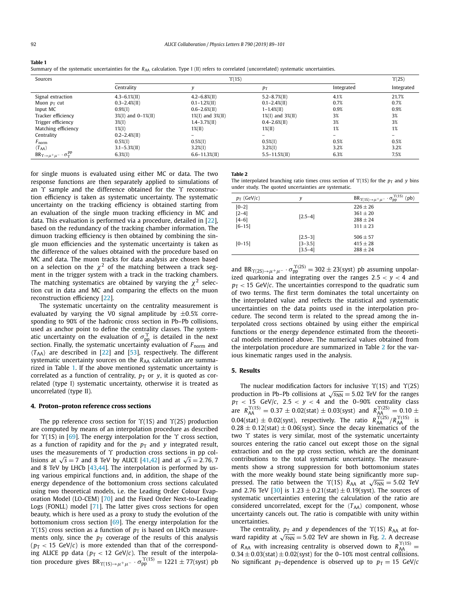| Table 1 |            |  |                                                                                                                                                 |            |                |
|---------|------------|--|-------------------------------------------------------------------------------------------------------------------------------------------------|------------|----------------|
|         |            |  | Summary of the systematic uncertainties for the $R_{AA}$ calculation. Type I (II) refers to correlated (uncorrelated) systematic uncertainties. |            |                |
| Sources | Y(1S)      |  |                                                                                                                                                 |            | $\Upsilon(2S)$ |
|         | Centralitv |  |                                                                                                                                                 | Integrated | Integi         |

|                                                                     | Centrality              |                          | $p_{\rm T}$              | Integrated               | Integrated               |
|---------------------------------------------------------------------|-------------------------|--------------------------|--------------------------|--------------------------|--------------------------|
| Signal extraction                                                   | $4.3 - 6.1\%$ (II)      | $4.2 - 6.8\%$ (II)       | $5.2 - 8.7\%$ (II)       | 4.1%                     | 21.7%                    |
| Muon $p_T$ cut                                                      | $0.3 - 2.4\%$ (II)      | $0.1 - 1.2\%$ (II)       | $0.1 - 2.4\%$ (II)       | 0.7%                     | 0.7%                     |
| Input MC                                                            | $0.9\%$ (I)             | $0.6 - 2.6\%$ (II)       | $1 - 1.4\%$ (II)         | 0.9%                     | 0.9%                     |
| Tracker efficiency                                                  | $3\%$ (I) and 0-1\%(II) | $1\%$ (I) and $3\%$ (II) | $1\%$ (I) and $3\%$ (II) | 3%                       | 3%                       |
| Trigger efficiency                                                  | $3\%$ (I)               | $1.4 - 3.7\%$ (II)       | $0.4 - 2.6\%$ (II)       | 3%                       | 3%                       |
| Matching efficiency                                                 | $1\%$ (I)               | $1\%$ (II)               | $1\%$ (II)               | 1%                       | 1%                       |
| Centrality                                                          | $0.2 - 2.4\%$ (II)      |                          |                          | $\overline{\phantom{0}}$ | $\overline{\phantom{0}}$ |
| $F_{\rm norm}$                                                      | $0.5\%$ (I)             | $0.5\%$ (I)              | $0.5\%$ (I)              | 0.5%                     | 0.5%                     |
| $\langle T_{AA} \rangle$                                            | $3.1 - 5.3\%$ (II)      | $3.2\%$ (I)              | $3.2\%$ (I)              | 3.2%                     | 3.2%                     |
| $BR_{\Upsilon\rightarrow \mu^+\mu^-}\cdot \sigma^{\rm pp}_\Upsilon$ | $6.3\%$ (I)             | $6.6 - 11.3\%$ (II)      | $5.5 - 11.5\%$ (II)      | 6.3%                     | 7.5%                     |

for single muons is evaluated using either MC or data. The two response functions are then separately applied to simulations of an *ϒ* sample and the difference obtained for the *ϒ* reconstruction efficiency is taken as systematic uncertainty. The systematic uncertainty on the tracking efficiency is obtained starting from an evaluation of the single muon tracking efficiency in MC and data. This evaluation is performed via a procedure, detailed in [\[22\]](#page-6-0), based on the redundancy of the tracking chamber information. The dimuon tracking efficiency is then obtained by combining the single muon efficiencies and the systematic uncertainty is taken as the difference of the values obtained with the procedure based on MC and data. The muon tracks for data analysis are chosen based on a selection on the  $\chi^2$  of the matching between a track segment in the trigger system with a track in the tracking chambers. The matching systematics are obtained by varying the  $\chi^2$  selection cut in data and MC and comparing the effects on the muon reconstruction efficiency [\[22\]](#page-6-0).

The systematic uncertainty on the centrality measurement is evaluated by varying the V0 signal amplitude by ±0*.*5% corresponding to 90% of the hadronic cross section in Pb–Pb collisions, used as anchor point to define the centrality classes. The systematic uncertainty on the evaluation of  $\sigma_{\rm pp}^{\gamma}$  is detailed in the next section. Finally, the systematic uncertainty evaluation of *F*norm and  $\langle T_{AA} \rangle$  are described in [\[22\]](#page-6-0) and [\[53\]](#page-6-0), respectively. The different systematic uncertainty sources on the R<sub>AA</sub> calculation are summarized in Table 1. If the above mentioned systematic uncertainty is correlated as a function of centrality,  $p_T$  or *y*, it is quoted as correlated (type I) systematic uncertainty, otherwise it is treated as uncorrelated (type II).

#### **4. Proton–proton reference cross sections**

The pp reference cross section for *ϒ*(1S) and *ϒ*(2S) production are computed by means of an interpolation procedure as described for *ϒ*(1S) in [\[69\]](#page-7-0). The energy interpolation for the *ϒ* cross section, as a function of rapidity and for the  $p_T$  and  $y$  integrated result, uses the measurements of *ϒ* production cross sections in pp collisions at  $\sqrt{s}$  = 7 and 8 TeV by ALICE [\[41,42\]](#page-6-0) and at  $\sqrt{s}$  = 2.76*,* 7 and 8 TeV by LHCb [\[43,44\]](#page-6-0). The interpolation is performed by using various empirical functions and, in addition, the shape of the energy dependence of the bottomonium cross sections calculated using two theoretical models, i.e. the Leading Order Colour Evaporation Model (LO-CEM) [\[70\]](#page-7-0) and the Fixed Order Next-to-Leading Logs (FONLL) model [\[71\]](#page-7-0). The latter gives cross sections for open beauty, which is here used as a proxy to study the evolution of the bottomonium cross section [\[69\]](#page-7-0). The energy interpolation for the  $\Upsilon(1S)$  cross section as a function of  $p_T$  is based on LHCb measurements only, since the  $p<sub>T</sub>$  coverage of the results of this analysis  $(p_T < 15 \text{ GeV/c})$  is more extended than that of the corresponding ALICE pp data ( $p_{\rm T} <$  12 GeV/ $c$ ). The result of the interpolation procedure gives  $BR_{\Upsilon(1S)\to\mu^+\mu^-}\cdot\sigma_{pp}^{\Upsilon(1S)} = 1221 \pm 77$ (syst) pb

### **Table 2**

The interpolated branching ratio times cross section of  $\Upsilon(1S)$  for the  $p_T$  and *y* bins under study. The quoted uncertainties are systematic.

| $p_T$ (GeV/c)                               | ν                                       | $\Upsilon(1S)$<br>(pb)<br>$BR_{\Upsilon(1S)\to\mu^+\mu^-}\cdot\sigma_{pp}$ |
|---------------------------------------------|-----------------------------------------|----------------------------------------------------------------------------|
| $[0-2]$<br>$[2-4]$<br>$[4-6]$<br>$[6 - 15]$ | $[2.5-4]$                               | $226 + 26$<br>$361 + 20$<br>$288 + 24$<br>$311 + 23$                       |
| $[0 - 15]$                                  | $[2.5-3]$<br>$[3 - 3.5]$<br>$[3.5 - 4]$ | $506 \pm 57$<br>$415 + 28$<br>$288 \pm 24$                                 |

and  $BR_{\Upsilon(2S)\to\mu^+\mu^-}\cdot\sigma_{\text{pp}}^{\Upsilon(2S)} = 302 \pm 23 \text{(syst)}$  pb assuming unpolarized quarkonia and integrating over the ranges 2*.5* < *y* < 4 and  $p_T < 15$  GeV/*c*. The uncertainties correspond to the quadratic sum of two terms. The first term dominates the total uncertainty on the interpolated value and reflects the statistical and systematic uncertainties on the data points used in the interpolation procedure. The second term is related to the spread among the interpolated cross sections obtained by using either the empirical functions or the energy dependence estimated from the theoretical models mentioned above. The numerical values obtained from the interpolation procedure are summarized in Table 2 for the various kinematic ranges used in the analysis.

### **5. Results**

The nuclear modification factors for inclusive *ϒ*(1S) and *ϒ*(2S) production in Pb–Pb collisions at  $\sqrt{s_{NN}}$  = 5.02 TeV for the ranges  $p_{\rm T}$   $<$  15 GeV/ $c$ , 2.5  $<$   $y$   $<$  4 and the 0–90% centrality class are  $R_{AA}^{\Upsilon(1S)} = 0.37 \pm 0.02$ (stat)  $\pm 0.03$ (syst) and  $R_{AA}^{\Upsilon(2S)} = 0.10 \pm 0.03$  $0.04(stat) \pm 0.02(syst)$ , respectively. The ratio  $R_{AA}^{\Upsilon(2S)}/R_{AA}^{\Upsilon(1S)}$  is  $0.28 \pm 0.12$ (stat)  $\pm 0.06$ (syst). Since the decay kinematics of the two *ϒ* states is very similar, most of the systematic uncertainty sources entering the ratio cancel out except those on the signal extraction and on the pp cross section, which are the dominant contributions to the total systematic uncertainty. The measurements show a strong suppression for both bottomonium states with the more weakly bound state being significantly more suppressed. The ratio between the  $\Upsilon(1S)$  *R*<sub>AA</sub> at  $\sqrt{s_{NN}} = 5.02$  TeV and 2.76 TeV [\[30\]](#page-6-0) is  $1.23 \pm 0.21$ (stat)  $\pm 0.19$ (syst). The sources of systematic uncertainties entering the calculation of the ratio are considered uncorrelated, except for the  $\langle T_{AA} \rangle$  component, whose uncertainty cancels out. The ratio is compatible with unity within uncertainties.

The centrality,  $p_T$  and *y* dependences of the  $\Upsilon$ (1S)  $R_{AA}$  at forward rapidity at  $\sqrt{s_{NN}}$  = 5.02 TeV are shown in Fig. [2.](#page-4-0) A decrease of  $R_{AA}$  with increasing centrality is observed down to  $R_{AA}^{\Upsilon(1S)}$  =  $0.34 \pm 0.03$ (stat)  $\pm 0.02$ (syst) for the 0–10% most central collisions. No significant  $p_T$ -dependence is observed up to  $p_T = 15$  GeV/*c*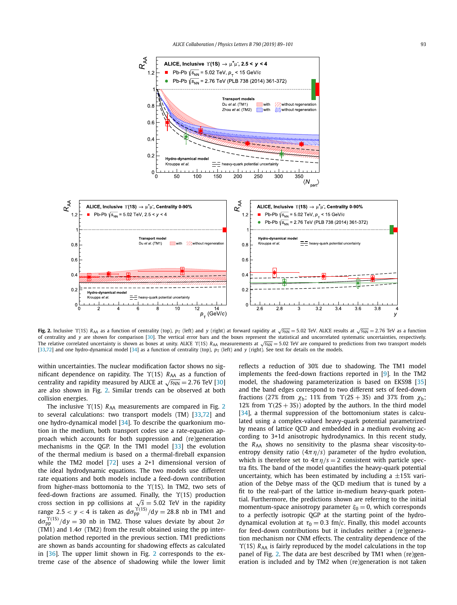<span id="page-4-0"></span>

Fig. 2. Inclusive  $\Upsilon(1S)$  R<sub>AA</sub> as a function of centrality (top),  $p_T$  (left) and y (right) at forward rapidity at  $\sqrt{s_{NN}}$  = 5.02 TeV. ALICE results at  $\sqrt{s_{NN}}$  = 2.76 TeV as a function of centrality and *y* are shown for comparison [\[30\]](#page-6-0). The vertical error bars and the boxes represent the statistical and uncorrelated systematic uncertainties, respectively. The relative correlated uncertainty is shown as boxes at unity. ALICE *Υ*(1S) *R*<sub>AA</sub> measurements at √*s*<sub>NN</sub> = 5.02 TeV are compared to predictions from two transport models [\[33,72\]](#page-6-0) and one hydro-dynamical model [\[34\]](#page-6-0) as a function of centrality (top),  $p_T$  (left) and *y* (right). See text for details on the models.

within uncertainties. The nuclear modification factor shows no significant dependence on rapidity. The *Υ*(1S) *R*<sub>AA</sub> as a function of centrality and rapidity measured by ALICE at  $\sqrt{s_{NN}} = 2.76$  TeV [\[30\]](#page-6-0) are also shown in Fig. 2. Similar trends can be observed at both collision energies.

The inclusive *Y*(1S) *R*<sub>AA</sub> measurements are compared in Fig. 2 to several calculations: two transport models (TM) [\[33](#page-6-0)[,72\]](#page-7-0) and one hydro-dynamical model [\[34\]](#page-6-0). To describe the quarkonium motion in the medium, both transport codes use a rate-equation approach which accounts for both suppression and (re)generation mechanisms in the QGP. In the TM1 model [\[33\]](#page-6-0) the evolution of the thermal medium is based on a thermal-fireball expansion while the TM2 model [\[72\]](#page-7-0) uses a 2+1 dimensional version of the ideal hydrodynamic equations. The two models use different rate equations and both models include a feed-down contribution from higher-mass bottomonia to the *ϒ*(1S). In TM2, two sets of feed-down fractions are assumed. Finally, the *ϒ*(1S) production cross section in pp collisions at  $\sqrt{s}$  = 5.02 TeV in the rapidity range 2.5  $<$  *y*  $<$  4 is taken as  $d\sigma_{\text{pp}}^{\gamma(1S)}/dy = 28.8$  nb in TM1 and  $d\sigma_{\text{pp}}^{\Upsilon(1S)}/dy = 30$  nb in TM2. Those values deviate by about 2*σ* (TM1) and 1*.*4*σ* (TM2) from the result obtained using the pp interpolation method reported in the previous section. TM1 predictions are shown as bands accounting for shadowing effects as calculated in [\[36\]](#page-6-0). The upper limit shown in Fig. 2 corresponds to the extreme case of the absence of shadowing while the lower limit reflects a reduction of 30% due to shadowing. The TM1 model implements the feed-down fractions reported in [\[9\]](#page-5-0). In the TM2 model, the shadowing parameterization is based on EKS98 [\[35\]](#page-6-0) and the band edges correspond to two different sets of feed-down fractions (27% from  $χ_b$ ; 11% from  $γ(2S + 3S)$  and 37% from  $χ_b$ ; 12% from  $\Upsilon(2S + 3S)$ ) adopted by the authors. In the third model [\[34\]](#page-6-0), a thermal suppression of the bottomonium states is calculated using a complex-valued heavy-quark potential parametrized by means of lattice QCD and embedded in a medium evolving according to 3+1d anisotropic hydrodynamics. In this recent study, the *R<sub>AA</sub>* shows no sensitivity to the plasma shear viscosity-toentropy density ratio  $(4\pi \eta/s)$  parameter of the hydro evolution, which is therefore set to  $4\pi \eta/s = 2$  consistent with particle spectra fits. The band of the model quantifies the heavy-quark potential uncertainty, which has been estimated by including a  $\pm 15\%$  variation of the Debye mass of the QCD medium that is tuned by a fit to the real-part of the lattice in-medium heavy-quark potential. Furthermore, the predictions shown are referring to the initial momentum-space anisotropy parameter  $ξ<sub>0</sub> = 0$ , which corresponds to a perfectly isotropic QGP at the starting point of the hydrodynamical evolution at  $\tau_0 = 0.3$  fm/*c*. Finally, this model accounts for feed-down contributions but it includes neither a (re)generation mechanism nor CNM effects. The centrality dependence of the *Y*(1S) *R*<sub>AA</sub> is fairly reproduced by the model calculations in the top panel of Fig. 2. The data are best described by TM1 when (re)generation is included and by TM2 when (re)generation is not taken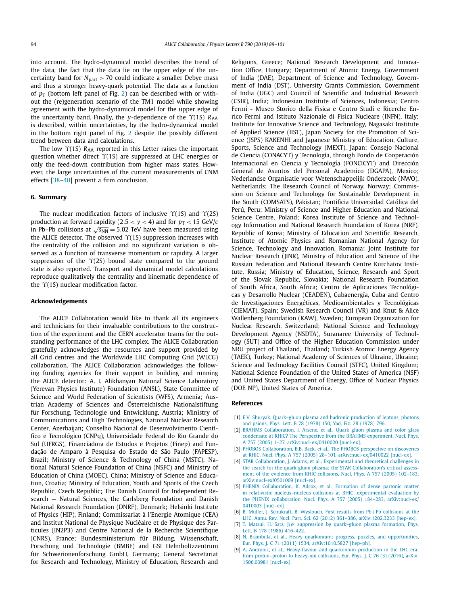<span id="page-5-0"></span>into account. The hydro-dynamical model describes the trend of the data, the fact that the data lie on the upper edge of the uncertainty band for  $N_{part} > 70$  could indicate a smaller Debye mass and thus a stronger heavy-quark potential. The data as a function of  $p_T$  (bottom left panel of Fig. [2\)](#page-4-0) can be described with or without the (re)generation scenario of the TM1 model while showing agreement with the hydro-dynamical model for the upper edge of the uncertainty band. Finally, the *y*-dependence of the  $\Upsilon$ (1S) *R*<sub>AA</sub> is described, within uncertainties, by the hydro-dynamical model in the bottom right panel of Fig. [2](#page-4-0) despite the possibly different trend between data and calculations.

The low *Υ*(1S) *R*<sub>AA</sub> reported in this Letter raises the important question whether direct *ϒ*(1S) are suppressed at LHC energies or only the feed-down contribution from higher mass states. However, the large uncertainties of the current measurements of CNM effects [\[38–40\]](#page-6-0) prevent a firm conclusion.

#### **6. Summary**

The nuclear modification factors of inclusive *ϒ*(1S) and *ϒ*(2S) production at forward rapidity (2.5  $\times$  *y*  $\times$  4) and for  $p<sub>T</sub>$   $\times$  15 GeV/*c* in Pb–Pb collisions at  $\sqrt{s_{NN}}$  = 5.02 TeV have been measured using the ALICE detector. The observed *ϒ*(1S) suppression increases with the centrality of the collision and no significant variation is observed as a function of transverse momentum or rapidity. A larger suppression of the *ϒ*(2S) bound state compared to the ground state is also reported. Transport and dynamical model calculations reproduce qualitatively the centrality and kinematic dependence of the *ϒ*(1S) nuclear modification factor.

#### **Acknowledgements**

The ALICE Collaboration would like to thank all its engineers and technicians for their invaluable contributions to the construction of the experiment and the CERN accelerator teams for the outstanding performance of the LHC complex. The ALICE Collaboration gratefully acknowledges the resources and support provided by all Grid centres and the Worldwide LHC Computing Grid (WLCG) collaboration. The ALICE Collaboration acknowledges the following funding agencies for their support in building and running the ALICE detector: A. I. Alikhanyan National Science Laboratory (Yerevan Physics Institute) Foundation (ANSL), State Committee of Science and World Federation of Scientists (WFS), Armenia; Austrian Academy of Sciences and Österreichische Nationalstiftung für Forschung, Technologie und Entwicklung, Austria; Ministry of Communications and High Technologies, National Nuclear Research Center, Azerbaijan; Conselho Nacional de Desenvolvimento Científico e Tecnológico (CNPq), Universidade Federal do Rio Grande do Sul (UFRGS), Financiadora de Estudos e Projetos (Finep) and Fundação de Amparo à Pesquisa do Estado de São Paulo (FAPESP), Brazil; Ministry of Science & Technology of China (MSTC), National Natural Science Foundation of China (NSFC) and Ministry of Education of China (MOEC), China; Ministry of Science and Education, Croatia; Ministry of Education, Youth and Sports of the Czech Republic, Czech Republic; The Danish Council for Independent Research — Natural Sciences, the Carlsberg Foundation and Danish National Research Foundation (DNRF), Denmark; Helsinki Institute of Physics (HIP), Finland; Commissariat à l'Energie Atomique (CEA) and Institut National de Physique Nucléaire et de Physique des Particules (IN2P3) and Centre National de la Recherche Scientifique (CNRS), France; Bundesministerium für Bildung, Wissenschaft, Forschung und Technologie (BMBF) and GSI Helmholtzzentrum für Schwerionenforschung GmbH, Germany; General Secretariat for Research and Technology, Ministry of Education, Research and Religions, Greece; National Research Development and Innovation Office, Hungary; Department of Atomic Energy, Government of India (DAE), Department of Science and Technology, Government of India (DST), University Grants Commission, Government of India (UGC) and Council of Scientific and Industrial Research (CSIR), India; Indonesian Institute of Sciences, Indonesia; Centro Fermi - Museo Storico della Fisica e Centro Studi e Ricerche Enrico Fermi and Istituto Nazionale di Fisica Nucleare (INFN), Italy; Institute for Innovative Science and Technology, Nagasaki Institute of Applied Science (IIST), Japan Society for the Promotion of Science (JSPS) KAKENHI and Japanese Ministry of Education, Culture, Sports, Science and Technology (MEXT), Japan; Consejo Nacional de Ciencia (CONACYT) y Tecnología, through Fondo de Cooperación Internacional en Ciencia y Tecnología (FONCICYT) and Dirección General de Asuntos del Personal Academico (DGAPA), Mexico; Nederlandse Organisatie voor Wetenschappelijk Onderzoek (NWO), Netherlands; The Research Council of Norway, Norway; Commission on Science and Technology for Sustainable Development in the South (COMSATS), Pakistan; Pontificia Universidad Católica del Perú, Peru; Ministry of Science and Higher Education and National Science Centre, Poland; Korea Institute of Science and Technology Information and National Research Foundation of Korea (NRF), Republic of Korea; Ministry of Education and Scientific Research, Institute of Atomic Physics and Romanian National Agency for Science, Technology and Innovation, Romania; Joint Institute for Nuclear Research (JINR), Ministry of Education and Science of the Russian Federation and National Research Centre Kurchatov Institute, Russia; Ministry of Education, Science, Research and Sport of the Slovak Republic, Slovakia; National Research Foundation of South Africa, South Africa; Centro de Aplicaciones Tecnológicas y Desarrollo Nuclear (CEADEN), Cubaenergía, Cuba and Centro de Investigaciones Energéticas, Medioambientales y Tecnológicas (CIEMAT), Spain; Swedish Research Council (VR) and Knut & Alice Wallenberg Foundation (KAW), Sweden; European Organization for Nuclear Research, Switzerland; National Science and Technology Development Agency (NSDTA), Suranaree University of Technology (SUT) and Office of the Higher Education Commission under NRU project of Thailand, Thailand; Turkish Atomic Energy Agency (TAEK), Turkey; National Academy of Sciences of Ukraine, Ukraine; Science and Technology Facilities Council (STFC), United Kingdom; National Science Foundation of the United States of America (NSF) and United States Department of Energy, Office of Nuclear Physics (DOE NP), United States of America.

#### **References**

- [1] E.V. Shuryak, [Quark–gluon](http://refhub.elsevier.com/S0370-2693(18)30997-3/bib5368757279616B3A31393738696As1) plasma and hadronic production of leptons, photons and [psions,](http://refhub.elsevier.com/S0370-2693(18)30997-3/bib5368757279616B3A31393738696As1) Phys. Lett. B 78 (1978) 150, Yad. Fiz. 28 (1978) 796.
- [2] BRAHMS [Collaboration,](http://refhub.elsevier.com/S0370-2693(18)30997-3/bib417273656E653A323030346661s1) I. Arsene, et al., Quark gluon plasma and color glass condensate at RHIC? The Perspective from the BRAHMS [experiment,](http://refhub.elsevier.com/S0370-2693(18)30997-3/bib417273656E653A323030346661s1) Nucl. Phys. A 757 (2005) 1–27, [arXiv:nucl-ex/0410020 \[nucl-ex\].](http://refhub.elsevier.com/S0370-2693(18)30997-3/bib417273656E653A323030346661s1)
- [3] PHOBOS [Collaboration,](http://refhub.elsevier.com/S0370-2693(18)30997-3/bib4261636B3A323030346A65s1) B.B. Back, et al., The PHOBOS perspective on discoveries at RHIC, Nucl. Phys. A 757 (2005) 28–101, [arXiv:nucl-ex/0410022 \[nucl-ex\].](http://refhub.elsevier.com/S0370-2693(18)30997-3/bib4261636B3A323030346A65s1)
- [4] STAR [Collaboration,](http://refhub.elsevier.com/S0370-2693(18)30997-3/bib4164616D733A323030356471s1) J. Adams, et al., Experimental and theoretical challenges in the search for the quark gluon plasma: the STAR [Collaboration's](http://refhub.elsevier.com/S0370-2693(18)30997-3/bib4164616D733A323030356471s1) critical assessment of the evidence from RHIC [collisions,](http://refhub.elsevier.com/S0370-2693(18)30997-3/bib4164616D733A323030356471s1) Nucl. Phys. A 757 (2005) 102–183, [arXiv:nucl-ex/0501009 \[nucl-ex\].](http://refhub.elsevier.com/S0370-2693(18)30997-3/bib4164616D733A323030356471s1)
- [5] PHENIX [Collaboration,](http://refhub.elsevier.com/S0370-2693(18)30997-3/bib4164636F783A323030346D68s1) K. Adcox, et al., Formation of dense partonic matter in relativistic [nucleus–nucleus](http://refhub.elsevier.com/S0370-2693(18)30997-3/bib4164636F783A323030346D68s1) collisions at RHIC: experimental evaluation by the PHENIX collaboration, Nucl. Phys. A 757 (2005) 184–283, [arXiv:nucl-ex/](http://refhub.elsevier.com/S0370-2693(18)30997-3/bib4164636F783A323030346D68s1) [0410003 \[nucl-ex\].](http://refhub.elsevier.com/S0370-2693(18)30997-3/bib4164636F783A323030346D68s1)
- [6] B. Muller, J. Schukraft, B. [Wyslouch,](http://refhub.elsevier.com/S0370-2693(18)30997-3/bib4D756C6C65723A323031327A71s1) First results from Pb+Pb collisions at the LHC, Annu. Rev. Nucl. Part. Sci. 62 (2012) 361–386, [arXiv:1202.3233 \[hep-ex\].](http://refhub.elsevier.com/S0370-2693(18)30997-3/bib4D756C6C65723A323031327A71s1)
- [7] T. Matsui, H. Satz, J/*ψ* suppression by [quark–gluon](http://refhub.elsevier.com/S0370-2693(18)30997-3/bib4D61747375693A31393836646Bs1) plasma formation, Phys. Lett. B 178 (1986) [416–422.](http://refhub.elsevier.com/S0370-2693(18)30997-3/bib4D61747375693A31393836646Bs1)
- [8] N. Brambilla, et al., Heavy quarkonium: progress, puzzles, and [opportunities,](http://refhub.elsevier.com/S0370-2693(18)30997-3/bib4272616D62696C6C613A323031306373s1) Eur. Phys. J. C 71 (2011) 1534, [arXiv:1010.5827 \[hep-ph\].](http://refhub.elsevier.com/S0370-2693(18)30997-3/bib4272616D62696C6C613A323031306373s1)
- [9] A. Andronic, et al., [Heavy-flavour](http://refhub.elsevier.com/S0370-2693(18)30997-3/bib416E64726F6E69633A32303135776D61s1) and quarkonium production in the LHC era: from [proton–proton](http://refhub.elsevier.com/S0370-2693(18)30997-3/bib416E64726F6E69633A32303135776D61s1) to heavy-ion collisions, Eur. Phys. J. C 76 (3) (2016), arXiv: [1506.03981 \[nucl-ex\].](http://refhub.elsevier.com/S0370-2693(18)30997-3/bib416E64726F6E69633A32303135776D61s1)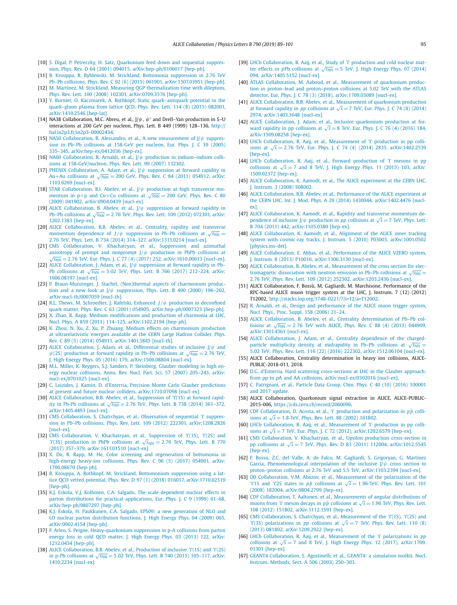- <span id="page-6-0"></span>[10] S. Digal, P. Petreczky, H. Satz, [Quarkonium](http://refhub.elsevier.com/S0370-2693(18)30997-3/bib446967616C3A323030317565s1) feed down and sequential suppression, Phys. Rev. D 64 (2001) 094015, [arXiv:hep-ph/0106017 \[hep-ph\].](http://refhub.elsevier.com/S0370-2693(18)30997-3/bib446967616C3A323030317565s1)
- [11] B. Krouppa, R. Ryblewski, M. Strickland, Bottomonia [suppression](http://refhub.elsevier.com/S0370-2693(18)30997-3/bib4B726F757070613A32303135796F61s1) in 2.76 TeV Pb–Pb collisions, Phys. Rev. C 92 (6) (2015) 061901, [arXiv:1507.03951 \[hep-ph\].](http://refhub.elsevier.com/S0370-2693(18)30997-3/bib4B726F757070613A32303135796F61s1)
- [12] M. Martinez, M. Strickland, Measuring OGP [thermalization](http://refhub.elsevier.com/S0370-2693(18)30997-3/bib4D6175726963696F3A32303037767As1) time with dileptons, Phys. Rev. Lett. 100 (2008) 102301, [arXiv:0709.3576 \[hep-ph\].](http://refhub.elsevier.com/S0370-2693(18)30997-3/bib4D6175726963696F3A32303037767As1)
- [13] Y. Burnier, O. Kaczmarek, A. Rothkopf, Static [quark–antiquark](http://refhub.elsevier.com/S0370-2693(18)30997-3/bib4275726E6965723A32303134737361s1) potential in the [quark–gluon](http://refhub.elsevier.com/S0370-2693(18)30997-3/bib4275726E6965723A32303134737361s1) plasma from lattice QCD, Phys. Rev. Lett. 114 (8) (2015) 082001, [arXiv:1410.2546 \[hep-lat\].](http://refhub.elsevier.com/S0370-2693(18)30997-3/bib4275726E6965723A32303134737361s1)
- [14] NA38 Collaboration, M.C. Abreu, et al., J/*ψ*, *ψ* and Drell–Yan production in S–U interactions at 200 GeV per nucleon, Phys. Lett. B 449 (1999) 128–136, [http://](http://hal.in2p3.fr/in2p3-00002434) [hal.in2p3.fr/in2p3-00002434.](http://hal.in2p3.fr/in2p3-00002434)
- [15] NA50 [Collaboration,](http://refhub.elsevier.com/S0370-2693(18)30997-3/bib416C657373616E64726F3A323030346170s1) B. Alessandro, et al., A new measurement of J/*ψ* suppression in Pb–Pb [collisions](http://refhub.elsevier.com/S0370-2693(18)30997-3/bib416C657373616E64726F3A323030346170s1) at 158-GeV per nucleon, Eur. Phys. J. C 39 (2005) 335–345, [arXiv:hep-ex/0412036 \[hep-ex\].](http://refhub.elsevier.com/S0370-2693(18)30997-3/bib416C657373616E64726F3A323030346170s1)
- [16] NA60 Collaboration, R. Arnaldi, et al., J/*ψ* production in [indium–indium](http://refhub.elsevier.com/S0370-2693(18)30997-3/bib41726E616C64693A323030377A7As1) collisions at [158-GeV/nucleon,](http://refhub.elsevier.com/S0370-2693(18)30997-3/bib41726E616C64693A323030377A7As1) Phys. Rev. Lett. 99 (2007) 132302.
- [17] PHENIX [Collaboration,](http://refhub.elsevier.com/S0370-2693(18)30997-3/bib41646172653A323031317966s1) A. Adare, et al., J/*ψ* suppression at forward rapidity in Au+Au collisions at  $\sqrt{s_{NN}}$  = [200 GeV,](http://refhub.elsevier.com/S0370-2693(18)30997-3/bib41646172653A323031317966s1) Phys. Rev. C 84 (2011) 054912, arXiv: [1103.6269 \[nucl-ex\].](http://refhub.elsevier.com/S0370-2693(18)30997-3/bib41646172653A323031317966s1)
- [18] STAR [Collaboration,](http://refhub.elsevier.com/S0370-2693(18)30997-3/bib4162656C65763A32303039716161s1) B.I. Abelev, et al., J/*ψ* production at high transverse momentum in p+p and Cu+Cu collisions at  $\sqrt{s_{NN}}$  = [200 GeV,](http://refhub.elsevier.com/S0370-2693(18)30997-3/bib4162656C65763A32303039716161s1) Phys. Rev. C 80 (2009) 041902, [arXiv:0904.0439 \[nucl-ex\].](http://refhub.elsevier.com/S0370-2693(18)30997-3/bib4162656C65763A32303039716161s1)
- [19] ALICE [Collaboration,](http://refhub.elsevier.com/S0370-2693(18)30997-3/bib4162656C65763A323031327276s1) B. Abelev, et al.,  $J/\psi$  suppression at forward rapidity in Pb–Pb [collisions](http://refhub.elsevier.com/S0370-2693(18)30997-3/bib4162656C65763A323031327276s1) at  $\sqrt{s_{NN}}$  = 2.76 TeV, Phys. Rev. Lett. 109 (2012) 072301, arXiv: [1202.1383 \[hep-ex\].](http://refhub.elsevier.com/S0370-2693(18)30997-3/bib4162656C65763A323031327276s1)
- [20] ALICE [Collaboration,](http://refhub.elsevier.com/S0370-2693(18)30997-3/bib4162656C65763A32303133696C61s1) B.B. Abelev, et al., Centrality, rapidity and transverse momentum [dependence](http://refhub.elsevier.com/S0370-2693(18)30997-3/bib4162656C65763A32303133696C61s1) of *J*/ $\psi$  suppression in Pb–Pb collisions at  $\sqrt{s_{NN}}$  = 2*.*76 TeV, Phys. Lett. B 734 (2014) 314–327, [arXiv:1311.0214 \[nucl-ex\].](http://refhub.elsevier.com/S0370-2693(18)30997-3/bib4162656C65763A32303133696C61s1)
- [21] CMS [Collaboration,](http://refhub.elsevier.com/S0370-2693(18)30997-3/bib4B6861636861747279616E3A32303136797077s1) V. Khachatryan, et al., Suppression and azimuthal [an](http://refhub.elsevier.com/S0370-2693(18)30997-3/bib4B6861636861747279616E3A32303136797077s1)isotropy of prompt and nonprompt  $J/\psi$  production in PbPb collisions at  $\sqrt{s_{NN}}$  = 2.76 TeV, Eur. Phys. J. C 77 (4) (2017) 252, arXiv:1610.00613 [nucl-ex].
- [22] ALICE [Collaboration,](http://refhub.elsevier.com/S0370-2693(18)30997-3/bib4164616D3A32303136726467s1) J. Adam, et al., J/*ψ* suppression at forward rapidity in Pb– Pb [collisions](http://refhub.elsevier.com/S0370-2693(18)30997-3/bib4164616D3A32303136726467s1) at  $\sqrt{s_{NN}}$  = 5.02 TeV, Phys. Lett. B 766 (2017) 212–224, arXiv: [1606.08197 \[nucl-ex\].](http://refhub.elsevier.com/S0370-2693(18)30997-3/bib4164616D3A32303136726467s1)
- [23] P. [Braun-Munzinger,](http://refhub.elsevier.com/S0370-2693(18)30997-3/bib427261756E4D756E7A696E6765723A323030307078s1) J. Stachel, (Non)thermal aspects of charmonium production and a new look at  $J/\psi$  [suppression,](http://refhub.elsevier.com/S0370-2693(18)30997-3/bib427261756E4D756E7A696E6765723A323030307078s1) Phys. Lett. B 490 (2000) 196-202, [arXiv:nucl-th/0007059 \[nucl-th\].](http://refhub.elsevier.com/S0370-2693(18)30997-3/bib427261756E4D756E7A696E6765723A323030307078s1)
- [24] R.L. Thews, M. [Schroedter,](http://refhub.elsevier.com/S0370-2693(18)30997-3/bib54686577733A32303030726As1) J. Rafelski, Enhanced *J/ψ* production in deconfined quark matter, Phys. Rev. C 63 (2001) 054905, [arXiv:hep-ph/0007323 \[hep-ph\].](http://refhub.elsevier.com/S0370-2693(18)30997-3/bib54686577733A32303030726As1)
- [25] X. Zhao, R. Rapp, Medium [modifications](http://refhub.elsevier.com/S0370-2693(18)30997-3/bib5A68616F3A323031316376s1) and production of charmonia at LHC, Nucl. Phys. A 859 (2011) 114–125, [arXiv:1102.2194 \[hep-ph\].](http://refhub.elsevier.com/S0370-2693(18)30997-3/bib5A68616F3A323031316376s1)
- [26] K. Zhou, N. Xu, Z. Xu, P. Zhuang, Medium effects on [charmonium](http://refhub.elsevier.com/S0370-2693(18)30997-3/bib5A686F753A323031346B6B61s1) production at [ultrarelativistic](http://refhub.elsevier.com/S0370-2693(18)30997-3/bib5A686F753A323031346B6B61s1) energies available at the CERN Large Hadron Collider, Phys. Rev. C 89 (5) (2014) 054911, [arXiv:1401.5845 \[nucl-th\].](http://refhub.elsevier.com/S0370-2693(18)30997-3/bib5A686F753A323031346B6B61s1)
- [27] ALICE [Collaboration,](http://refhub.elsevier.com/S0370-2693(18)30997-3/bib4164616D3A32303135697361s1) J. Adam, et al., Differential studies of inclusive J/*ψ* and  $\psi$ [\(2S\) production](http://refhub.elsevier.com/S0370-2693(18)30997-3/bib4164616D3A32303135697361s1) at forward rapidity in Pb–Pb collisions at  $\sqrt{s_{NN}} = 2.76$  TeV, J. High Energy Phys. 05 (2016) 179, [arXiv:1506.08804 \[nucl-ex\].](http://refhub.elsevier.com/S0370-2693(18)30997-3/bib4164616D3A32303135697361s1)
- [28] M.L. Miller, K. Reygers, S.J. Sanders, P. [Steinberg,](http://refhub.elsevier.com/S0370-2693(18)30997-3/bib4D696C6C65723A323030377269s1) Glauber modeling in high energy nuclear [collisions,](http://refhub.elsevier.com/S0370-2693(18)30997-3/bib4D696C6C65723A323030377269s1) Annu. Rev. Nucl. Part. Sci. 57 (2007) 205–243, arXiv: [nucl-ex/0701025 \[nucl-ex\].](http://refhub.elsevier.com/S0370-2693(18)30997-3/bib4D696C6C65723A323030377269s1)
- [29] C. Loizides, J. Kamin, D. d'Enterria, Precision Monte Carlo Glauber [predictions](http://refhub.elsevier.com/S0370-2693(18)30997-3/bib4C6F697A696465733A3230313761636Bs1) at present and future nuclear colliders, [arXiv:1710.07098 \[nucl-ex\].](http://refhub.elsevier.com/S0370-2693(18)30997-3/bib4C6F697A696465733A3230313761636Bs1)
- [30] ALICE [Collaboration,](http://refhub.elsevier.com/S0370-2693(18)30997-3/bib4162656C65763A323031346E7561s1) B.B. Abelev, et al., Suppression of *ϒ*(1S) at forward rapidity in Pb-Pb [collisions](http://refhub.elsevier.com/S0370-2693(18)30997-3/bib4162656C65763A323031346E7561s1) at  $\sqrt{s_{NN}}$  = 2.76 TeV, Phys. Lett. B 738 (2014) 361–372, [arXiv:1405.4493 \[nucl-ex\].](http://refhub.elsevier.com/S0370-2693(18)30997-3/bib4162656C65763A323031346E7561s1)
- [31] CMS [Collaboration,](http://refhub.elsevier.com/S0370-2693(18)30997-3/bib4368617472636879616E3A323031326C7861s1) S. Chatrchyan, et al., Observation of sequential *ϒ* suppression in Pb–Pb collisions, Phys. Rev. Lett. 109 (2012) 222301, [arXiv:1208.2826](http://refhub.elsevier.com/S0370-2693(18)30997-3/bib4368617472636879616E3A323031326C7861s1) [\[nucl-ex\].](http://refhub.elsevier.com/S0370-2693(18)30997-3/bib4368617472636879616E3A323031326C7861s1)
- [32] CMS [Collaboration,](http://refhub.elsevier.com/S0370-2693(18)30997-3/bib4B6861636861747279616E3A32303136787870s1) V. Khachatryan, et al., Suppression of *ϒ*(1S), *ϒ*(2S) and *Y*[\(3S\) production](http://refhub.elsevier.com/S0370-2693(18)30997-3/bib4B6861636861747279616E3A32303136787870s1) in PbPb collisions at  $\sqrt{s}_{NN} = 2.76$  TeV, [Phys.](http://refhub.elsevier.com/S0370-2693(18)30997-3/bib4B6861636861747279616E3A32303136787870s1) Lett. B 770 (2017) 357–379, [arXiv:1611.01510 \[nucl-ex\].](http://refhub.elsevier.com/S0370-2693(18)30997-3/bib4B6861636861747279616E3A32303136787870s1)
- [33] X. Du, R. Rapp, M. He, Color screening and [regeneration](http://refhub.elsevier.com/S0370-2693(18)30997-3/bib44753A32303137716B76s1) of bottomonia in [high-energy](http://refhub.elsevier.com/S0370-2693(18)30997-3/bib44753A32303137716B76s1) heavy-ion collisions, Phys. Rev. C 96 (5) (2017) 054901, arXiv: [1706.08670 \[hep-ph\].](http://refhub.elsevier.com/S0370-2693(18)30997-3/bib44753A32303137716B76s1)
- [34] B. Krouppa, A. Rothkopf, M. Strickland, [Bottomonium](http://refhub.elsevier.com/S0370-2693(18)30997-3/bib4B726F757070613A323031376A6C67s1) suppression using a lattice QCD vetted potential, Phys. Rev. D 97 (1) (2018) 016017, [arXiv:1710.02319](http://refhub.elsevier.com/S0370-2693(18)30997-3/bib4B726F757070613A323031376A6C67s1) [\[hep-ph\].](http://refhub.elsevier.com/S0370-2693(18)30997-3/bib4B726F757070613A323031376A6C67s1)
- [35] K.J. Eskola, V.J. Kolhinen, C.A. Salgado, The scale [dependent](http://refhub.elsevier.com/S0370-2693(18)30997-3/bib45736B6F6C613A313939386466s1) nuclear effects in parton [distributions](http://refhub.elsevier.com/S0370-2693(18)30997-3/bib45736B6F6C613A313939386466s1) for practical applications, Eur. Phys. J. C 9 (1999) 61–68, [arXiv:hep-ph/9807297 \[hep-ph\].](http://refhub.elsevier.com/S0370-2693(18)30997-3/bib45736B6F6C613A313939386466s1)
- [36] K.J. Eskola, H. [Paukkunen,](http://refhub.elsevier.com/S0370-2693(18)30997-3/bib45736B6F6C613A32303039756As1) C.A. Salgado, EPS09: a new generation of NLO and LO nuclear parton [distribution](http://refhub.elsevier.com/S0370-2693(18)30997-3/bib45736B6F6C613A32303039756As1) functions, J. High Energy Phys. 04 (2009) 065, [arXiv:0902.4154 \[hep-ph\].](http://refhub.elsevier.com/S0370-2693(18)30997-3/bib45736B6F6C613A32303039756As1)
- [37] F. Arleo, S. Peigne, [Heavy-quarkonium](http://refhub.elsevier.com/S0370-2693(18)30997-3/bib41726C656F3A323031327273s1) suppression in p-A collisions from parton energy loss in cold QCD [matter,](http://refhub.elsevier.com/S0370-2693(18)30997-3/bib41726C656F3A323031327273s1) J. High Energy Phys. 03 (2013) 122, arXiv: [1212.0434 \[hep-ph\].](http://refhub.elsevier.com/S0370-2693(18)30997-3/bib41726C656F3A323031327273s1)
- [38] ALICE [Collaboration,](http://refhub.elsevier.com/S0370-2693(18)30997-3/bib4162656C65763A323031346F6561s1) B.B. Abelev, et al., Production of inclusive *ϒ*(1S) and *ϒ*(2S) in p-Pb [collisions](http://refhub.elsevier.com/S0370-2693(18)30997-3/bib4162656C65763A323031346F6561s1) at  $\sqrt{s_{NN}}$  = 5.02 TeV, Phys. Lett. B 740 (2015) 105–117, arXiv: [1410.2234 \[nucl-ex\].](http://refhub.elsevier.com/S0370-2693(18)30997-3/bib4162656C65763A323031346F6561s1)
- [39] LHCb [Collaboration,](http://refhub.elsevier.com/S0370-2693(18)30997-3/bib4161696A3A323031346D7A61s1) R. Aaij, et al., Study of *ϒ* production and cold nuclear matter effects in *pPb* [collisions](http://refhub.elsevier.com/S0370-2693(18)30997-3/bib4161696A3A323031346D7A61s1) at  $\sqrt{s_{NN}} = 5$  TeV, J. High Energy Phys. 07 (2014) 094, [arXiv:1405.5152 \[nucl-ex\].](http://refhub.elsevier.com/S0370-2693(18)30997-3/bib4161696A3A323031346D7A61s1)
- [40] ATLAS [Collaboration,](http://refhub.elsevier.com/S0370-2693(18)30997-3/bib4161626F75643A32303137636966s1) M. Aaboud, et al., Measurement of quarkonium production in proton–lead and [proton–proton](http://refhub.elsevier.com/S0370-2693(18)30997-3/bib4161626F75643A32303137636966s1) collisions at 5.02 TeV with the ATLAS detector, Eur. Phys. J. C 78 (3) (2018), [arXiv:1709.03089 \[nucl-ex\].](http://refhub.elsevier.com/S0370-2693(18)30997-3/bib4161626F75643A32303137636966s1)
- [41] ALICE [Collaboration,](http://refhub.elsevier.com/S0370-2693(18)30997-3/bib4162656C65763A32303134716861s1) B.B. Abelev, et al., Measurement of quarkonium production at forward rapidity in *pp* [collisions](http://refhub.elsevier.com/S0370-2693(18)30997-3/bib4162656C65763A32303134716861s1) at  $\sqrt{s} = 7$  TeV, Eur. Phys. J. C 74 (8) (2014) 2974, [arXiv:1403.3648 \[nucl-ex\].](http://refhub.elsevier.com/S0370-2693(18)30997-3/bib4162656C65763A32303134716861s1)
- [42] ALICE [Collaboration,](http://refhub.elsevier.com/S0370-2693(18)30997-3/bib4164616D3A32303135727461s1) J. Adam, et al., Inclusive quarkonium production at forward rapidity in pp [collisions](http://refhub.elsevier.com/S0370-2693(18)30997-3/bib4164616D3A32303135727461s1) at  $\sqrt{s} = 8$  TeV, Eur. Phys. J. C 76 (4) (2016) 184, [arXiv:1509.08258 \[hep-ex\].](http://refhub.elsevier.com/S0370-2693(18)30997-3/bib4164616D3A32303135727461s1)
- [43] LHCb [Collaboration,](http://refhub.elsevier.com/S0370-2693(18)30997-3/bib4161696A3A323031346E7761s1) R. Aaij, et al., Measurement of *ϒ* production in pp collisions at <sup>√</sup>*<sup>s</sup>* <sup>=</sup> <sup>2</sup>*.*76 TeV, Eur. Phys. J. <sup>C</sup> 74 (4) (2014) 2835, [arXiv:1402.2539](http://refhub.elsevier.com/S0370-2693(18)30997-3/bib4161696A3A323031346E7761s1) [\[hep-ex\].](http://refhub.elsevier.com/S0370-2693(18)30997-3/bib4161696A3A323031346E7761s1)
- [44] LHCb [Collaboration,](http://refhub.elsevier.com/S0370-2693(18)30997-3/bib4161696A3A32303135617761s1) R. Aaij, et al., Forward production of *ϒ* mesons in pp [collisions](http://refhub.elsevier.com/S0370-2693(18)30997-3/bib4161696A3A32303135617761s1) at  $\sqrt{s}$  = 7 and 8 TeV, J. High Energy Phys. 11 (2015) 103, arXiv: [1509.02372 \[hep-ex\].](http://refhub.elsevier.com/S0370-2693(18)30997-3/bib4161696A3A32303135617761s1)
- [45] ALICE [Collaboration,](http://refhub.elsevier.com/S0370-2693(18)30997-3/bib41616D6F64743A323030387A7As1) K. Aamodt, et al., The ALICE experiment at the CERN LHC, J. [Instrum.](http://refhub.elsevier.com/S0370-2693(18)30997-3/bib41616D6F64743A323030387A7As1) 3 (2008) S08002.
- [46] ALICE [Collaboration,](http://refhub.elsevier.com/S0370-2693(18)30997-3/bib4162656C65763A32303134666661s1) B.B. Abelev, et al., Performance of the ALICE experiment at the CERN LHC, Int. J. Mod. Phys. A 29 (2014) 1430044, [arXiv:1402.4476 \[nucl](http://refhub.elsevier.com/S0370-2693(18)30997-3/bib4162656C65763A32303134666661s1)[ex\].](http://refhub.elsevier.com/S0370-2693(18)30997-3/bib4162656C65763A32303134666661s1)
- [47] ALICE [Collaboration,](http://refhub.elsevier.com/S0370-2693(18)30997-3/bib41616D6F64743A32303131676As1) K. Aamodt, et al., Rapidity and transverse momentum dependence of inclusive J/*<sup>ψ</sup>* [production](http://refhub.elsevier.com/S0370-2693(18)30997-3/bib41616D6F64743A32303131676As1) in *pp* collisions at <sup>√</sup>*<sup>s</sup>* <sup>=</sup> 7 TeV, Phys. Lett. B 704 (2011) 442, [arXiv:1105.0380 \[hep-ex\].](http://refhub.elsevier.com/S0370-2693(18)30997-3/bib41616D6F64743A32303131676As1)
- [48] ALICE [Collaboration,](http://refhub.elsevier.com/S0370-2693(18)30997-3/bib41616D6F64743A323031306161s1) K. Aamodt, et al., Alignment of the ALICE inner tracking system with cosmic-ray tracks, J. Instrum. 5 (2010) P03003, [arXiv:1001.0502](http://refhub.elsevier.com/S0370-2693(18)30997-3/bib41616D6F64743A323031306161s1) [\[physics.ins-det\].](http://refhub.elsevier.com/S0370-2693(18)30997-3/bib41616D6F64743A323031306161s1)
- [49] ALICE [Collaboration,](http://refhub.elsevier.com/S0370-2693(18)30997-3/bib41626261733A32303133746161s1) E. Abbas, et al., Performance of the ALICE VZERO system, J. Instrum. 8 (2013) P10016, [arXiv:1306.3130 \[nucl-ex\].](http://refhub.elsevier.com/S0370-2693(18)30997-3/bib41626261733A32303133746161s1)
- [50] ALICE [Collaboration,](http://refhub.elsevier.com/S0370-2693(18)30997-3/bib414C4943453A323031326161s1) B. Abelev, et al., Measurement of the cross section for elec[tromagnetic](http://refhub.elsevier.com/S0370-2693(18)30997-3/bib414C4943453A323031326161s1) dissociation with neutron emission in Pb–Pb collisions at  $\sqrt{s_{NN}}$  = 2*.*76 TeV, Phys. Rev. Lett. 109 (2012) 252302, [arXiv:1203.2436 \[nucl-ex\].](http://refhub.elsevier.com/S0370-2693(18)30997-3/bib414C4943453A323031326161s1)
- [51] ALICE Collaboration, F. Bossù, M. Gagliardi, M. Marchisone, Performance of the RPC-based ALICE muon trigger system at the LHC, J. Instrum. 7 (12) (2012) T12002, [http://stacks.iop.org/1748-0221/7/i=12/a=T12002.](http://stacks.iop.org/1748-0221/7/i=12/a=T12002)
- [52] R. Arnaldi, et al., Design and [performance](http://refhub.elsevier.com/S0370-2693(18)30997-3/bib6D747232303036s1) of the ALICE muon trigger system, Nucl. Phys., Proc. Suppl. 158 (2006) [21–24.](http://refhub.elsevier.com/S0370-2693(18)30997-3/bib6D747232303036s1)
- [53] ALICE Collaboration, B. Abelev, et al., Centrality [determination](http://refhub.elsevier.com/S0370-2693(18)30997-3/bib4162656C65763A32303133716F71s1) of Pb–Pb collisions at  $\sqrt{s_{NN}}$  = 2.76 TeV with ALICE, Phys. Rev. C 88 (4) (2013) [044909,](http://refhub.elsevier.com/S0370-2693(18)30997-3/bib4162656C65763A32303133716F71s1) [arXiv:1301.4361 \[nucl-ex\].](http://refhub.elsevier.com/S0370-2693(18)30997-3/bib4162656C65763A32303133716F71s1)
- [54] ALICE [Collaboration,](http://refhub.elsevier.com/S0370-2693(18)30997-3/bib4164616D3A32303135707474s1) J. Adam, et al., Centrality dependence of the chargedparticle multiplicity density at [midrapidity](http://refhub.elsevier.com/S0370-2693(18)30997-3/bib4164616D3A32303135707474s1) in Pb–Pb collisions at  $\sqrt{s_{NN}}$  = 5*.*02 TeV, Phys. Rev. Lett. 116 (22) (2016) 222302, [arXiv:1512.06104 \[nucl-ex\].](http://refhub.elsevier.com/S0370-2693(18)30997-3/bib4164616D3A32303135707474s1)
- [55] ALICE Collaboration, Centrality determination in heavy ion collisions, ALICE-PUBLIC-2018-011, 2018.
- [56] D.G. d'Enterria, Hard scattering [cross-sections](http://refhub.elsevier.com/S0370-2693(18)30997-3/bib64456E7465727269613A32303033786163s1) at LHC in the Glauber approach: from pp to pA and AA collisions, [arXiv:nucl-ex/0302016 \[nucl-ex\].](http://refhub.elsevier.com/S0370-2693(18)30997-3/bib64456E7465727269613A32303033786163s1)
- [57] C. [Patrignani,](http://refhub.elsevier.com/S0370-2693(18)30997-3/bib5061747269676E616E693A32303136787170s1) et al., Particle Data Group, Chin. Phys. C 40 (10) (2016) 100001 and 2017 [update.](http://refhub.elsevier.com/S0370-2693(18)30997-3/bib5061747269676E616E693A32303136787170s1)
- [58] ALICE Collaboration, Quarkonium signal extraction in ALICE, ALICE-PUBLIC-2015-006, [https://cds.cern.ch/record/2060096.](https://cds.cern.ch/record/2060096)
- [59] CDF [Collaboration,](http://refhub.elsevier.com/S0370-2693(18)30997-3/bib41636F7374613A323030316776s1) D. Acosta, et al., *Υ* production and polarization in *pp* collisions at  $\sqrt{s} = 1.8$ -TeV, Phys. Rev. Lett. 88 (2002) [161802.](http://refhub.elsevier.com/S0370-2693(18)30997-3/bib41636F7374613A323030316776s1)
- [60] LHCb [Collaboration,](http://refhub.elsevier.com/S0370-2693(18)30997-3/bib4C4843623A323031326161s1) R. Aaij, et al., Measurement of *ϒ* production in pp collisions at <sup>√</sup>*<sup>s</sup>* <sup>=</sup> 7 TeV, Eur. Phys. J. <sup>C</sup> <sup>72</sup> (2012), [arXiv:1202.6579 \[hep-ex\].](http://refhub.elsevier.com/S0370-2693(18)30997-3/bib4C4843623A323031326161s1)
- [61] CMS [Collaboration,](http://refhub.elsevier.com/S0370-2693(18)30997-3/bib4B6861636861747279616E3A323031307A67s1) V. Khachatryan, et al., Upsilon production cross-section in pp collisions at <sup>√</sup>*<sup>s</sup>* <sup>=</sup> 7 TeV, Phys. Rev. <sup>D</sup> <sup>83</sup> (2011) 112004, [arXiv:1012.5545](http://refhub.elsevier.com/S0370-2693(18)30997-3/bib4B6861636861747279616E3A323031307A67s1) [\[hep-ex\].](http://refhub.elsevier.com/S0370-2693(18)30997-3/bib4B6861636861747279616E3A323031307A67s1)
- [62] F. Bossu, Z.C. del Valle, A. de Falco, M. Gagliardi, S. [Grigoryan,](http://refhub.elsevier.com/S0370-2693(18)30997-3/bib426F7373753A323031317165s1) G. Martinez Garcia, [Phenomenological](http://refhub.elsevier.com/S0370-2693(18)30997-3/bib426F7373753A323031317165s1) interpolation of the inclusive J/*ψ* cross section to proton–proton collisions at 2.76 TeV and 5.5 TeV, [arXiv:1103.2394 \[nucl-ex\].](http://refhub.elsevier.com/S0370-2693(18)30997-3/bib426F7373753A323031317165s1)
- [63] D0 [Collaboration,](http://refhub.elsevier.com/S0370-2693(18)30997-3/bib4162617A6F763A323030386161s1) V.M. Abazov, et al., Me[asureme](http://refhub.elsevier.com/S0370-2693(18)30997-3/bib4162617A6F763A323030386161s1)nt of the polarization of the *Y* 1S and *Y* 2S states in  $p\bar{p}$  [collisions](http://refhub.elsevier.com/S0370-2693(18)30997-3/bib4162617A6F763A323030386161s1) at  $\sqrt{s} = 1.96$ -TeV, Phys. Rev. Lett. 101 (2008) 182004, [arXiv:0804.2799 \[hep-ex\].](http://refhub.elsevier.com/S0370-2693(18)30997-3/bib4162617A6F763A323030386161s1)
- [64] CDF Collaboration, T. Aaltonen, et al., [Measurements](http://refhub.elsevier.com/S0370-2693(18)30997-3/bib4344463A323031316167s1) of angular distributions of muons from *Y* meson decays in  $p\bar{p}$  [collisions](http://refhub.elsevier.com/S0370-2693(18)30997-3/bib4344463A323031316167s1) at  $\sqrt{s} = 1.96$  TeV, Phys. Rev. Lett. 108 (2012) 151802, [arXiv:1112.1591 \[hep-ex\].](http://refhub.elsevier.com/S0370-2693(18)30997-3/bib4344463A323031316167s1)
- [65] CMS [Collaboration,](http://refhub.elsevier.com/S0370-2693(18)30997-3/bib4368617472636879616E3A32303132776F61s1) S. Chatrchyan, et al., [Measurement](http://refhub.elsevier.com/S0370-2693(18)30997-3/bib4368617472636879616E3A32303132776F61s1) of the *ϒ*(1S), *ϒ*(2S) and *Y*[\(3S\) polarizations](http://refhub.elsevier.com/S0370-2693(18)30997-3/bib4368617472636879616E3A32303132776F61s1) in *pp* collisions at  $\sqrt{s} = 7$  TeV, Phys. Rev. Lett. 110 (8) (2013) 081802, [arXiv:1209.2922 \[hep-ex\].](http://refhub.elsevier.com/S0370-2693(18)30997-3/bib4368617472636879616E3A32303132776F61s1)
- [66] LHCb [Collaboration,](http://refhub.elsevier.com/S0370-2693(18)30997-3/bib4161696A3A32303137656776s1) R. Aaij, et al., Measurement of the *ϒ* polarizations in *pp* collisions at  $\sqrt{s}$  = 7 and 8 TeV, J. High Energy Phys. 12 (2017), [arXiv:1709.](http://refhub.elsevier.com/S0370-2693(18)30997-3/bib4161696A3A32303137656776s1) [01301 \[hep-ex\].](http://refhub.elsevier.com/S0370-2693(18)30997-3/bib4161696A3A32303137656776s1)
- [67] GEANT4 [Collaboration,](http://refhub.elsevier.com/S0370-2693(18)30997-3/bib41676F7374696E656C6C693A323030326868s1) S. Agostinelli, et al., GEANT4: a simulation toolkit, Nucl. Instrum. [Methods,](http://refhub.elsevier.com/S0370-2693(18)30997-3/bib41676F7374696E656C6C693A323030326868s1) Sect. A 506 (2003) 250–303.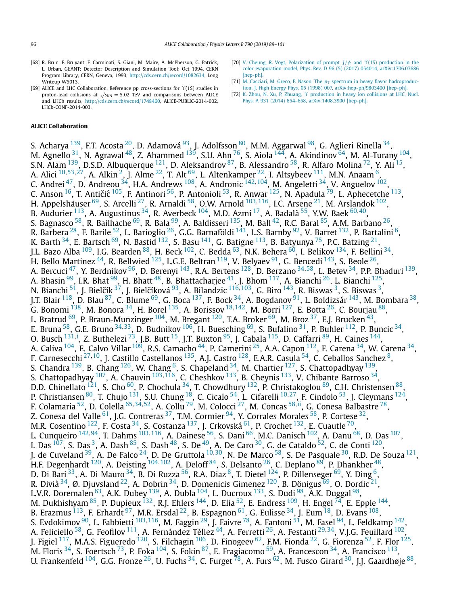- <span id="page-7-0"></span>[68] R. Brun, F. Bruyant, F. Carminati, S. Giani, M. Maire, A. McPherson, G. Patrick, L. Urban, GEANT: Detector Description and Simulation Tool; Oct 1994, CERN Program Library, CERN, Geneva, 1993, <http://cds.cern.ch/record/1082634>, Long Writeup W5013
- [69] ALICE and LHC Collaboration, Reference pp cross-sections for *ϒ*(1S) studies in proton-lead collisions at  $\sqrt{s_{NN}} = 5.02$  TeV and comparisons between ALICE and LHCb results, <http://cds.cern.ch/record/1748460>, ALICE-PUBLIC-2014-002, LHCb-CONF-2014-003.

#### **ALICE Collaboration**

S. Acharya <sup>[139](#page-11-0)</sup>, F.T. Acosta <sup>20</sup>, D. Adamová <sup>93</sup>, J. Adolfsson <sup>[80](#page-11-0)</sup>, M.M. Aggarwal <sup>98</sup>, G. Aglieri Rinella <sup>34</sup>, M. Agnello  $^{31}$ , N. Agrawal  $^{48}$ , Z. Ahammed  $^{139}$ , S.U. Ahn  $^{76}$ , S. Aiola  $^{144}$ , A. Akindinov  $^{64}$ , M. Al-Turany  $^{104}$ , S.N. Alam  $^{139}$ , D.S.D. Albuquerque  $^{121}$ , D. Aleksandrov  $^{87}$  $^{87}$  $^{87}$ , B. Alessandro  $^{58}$ , R. Alfaro Molina  $^{72}$ , Y. Ali  $^{15}$ , A. Alici [10](#page-10-0)*,*[53](#page-10-0)*,*[27,](#page-10-0) A. Alkin [2,](#page-10-0) J. Alme [22,](#page-10-0) T. Alt [69,](#page-10-0) L. Altenkamper [22](#page-10-0), I. Altsybeev [111,](#page-11-0) M.N. Anaam [6,](#page-10-0) C. Andrei <sup>47</sup>, D. Andreou <sup>34</sup>, H.A. Andrews <sup>108</sup>, A. Andronic <sup>[142](#page-11-0), 104</sup>, M. Angeletti <sup>34</sup>, V. Anguelov <sup>102</sup>, C. Anson <sup>16</sup>, T. Antičić <sup>105</sup>, F. Antinori <sup>[56](#page-10-0)</sup>, P. Antonioli <sup>53</sup>, R. Anwar <sup>125</sup>, N. Apadula <sup>79</sup>, L. Aphecetche <sup>113</sup>, H. Appelshäuser [69,](#page-10-0) S. Arcelli [27,](#page-10-0) R. Arnaldi [58,](#page-10-0) O.W. Arnold [103](#page-11-0)*,*[116,](#page-11-0) I.C. Arsene [21,](#page-10-0) M. Arslandok [102,](#page-11-0) B. Audurier [113,](#page-11-0) A. Augustinus [34,](#page-10-0) R. Averbeck [104,](#page-11-0) M.D. Azmi [17,](#page-10-0) A. Badalà [55,](#page-10-0) Y.W. Baek [60](#page-10-0)*,*[40,](#page-10-0) S. Bagnasco  $^{58}$ , R. Bailhache  $^{69}$ , R. Bala  $^{99}$ , A. Baldisseri  $^{135}$ , M. Ball  $^{42}$ , R.C. Baral  $^{85}$ , A.M. Barbano  $^{26}$ , R. Barbera $^{28}$ , F. Barile $^{52}$  $^{52}$  $^{52}$ , L. Barioglio $^{26}$ , G.G. Barnaföldi $^{143}$ , L.S. Barnby $^{92}$ , V. Barret $^{132}$ , P. Bartalini $^6$ , K. Barth  $^{34}$ , E. Bartsch  $^{69}$ , N. Bastid  $^{132}$ , S. Basu  $^{141}$ , G. Batigne  $^{113}$ , B. Batyunya  $^{75}$ , P.C. Batzing  $^{21}$ , J.L. Bazo Alba  $^{109}$ , I.G. Bearden  $^{88}$ , H. Beck  $^{102}$ , C. Bedda  $^{63}$ , N.K. Behera  $^{60}$ , I. Belikov  $^{134}$ , F. Bellini  $^{34}$ , H. Bello Martinez <sup>44</sup>, R. Bellwied <sup>125</sup>, L.G.E. Beltran <sup>119</sup>, V. Belyaev <sup>[91](#page-11-0)</sup>, G. Bencedi <sup>143</sup>, S. Beole <sup>26</sup>, A. Bercuci [47,](#page-10-0) Y. Berdnikov [96,](#page-11-0) D. Berenyi [143,](#page-11-0) R.A. Bertens [128,](#page-11-0) D. Berzano [34](#page-10-0)*,*[58](#page-10-0), L. Betev [34,](#page-10-0) P.P. Bhaduri [139,](#page-11-0) A. Bhasin <sup>99</sup>, I.R. Bhat <sup>99</sup>, H. Bhatt <sup>48</sup>, B. Bhattacharjee <sup>41</sup>, J. Bhom <sup>117</sup>, A. Bianchi <sup>26</sup>, L. Bianchi <sup>125</sup>, N. Bianchi <sup>51</sup>, J. Bielčík <sup>37</sup>, J. Bielčíková <sup>93</sup>, A. Bilandzic <sup>[116](#page-11-0),103</sup>, G. Biro <sup>[143](#page-11-0)</sup>, R. Biswas <sup>3</sup>, S. Biswas <sup>3</sup>, J.T. Blair <sup>118</sup>, D. Blau <sup>87</sup>, C. Blume <sup>69</sup>, G. Boca <sup>137</sup>, F. Bock <sup>34</sup>, A. Bogdanov <sup>91</sup>, L. Boldizsár <sup>143</sup>, M. Bombara <sup>38</sup>, G. Bonomi [138,](#page-11-0) M. Bonora [34,](#page-10-0) H. Borel [135,](#page-11-0) A. Borissov [18](#page-10-0)*,*[142,](#page-11-0) M. Borri [127,](#page-11-0) E. Botta [26,](#page-10-0) C. Bourjau [88,](#page-11-0) L. Bratrud <sup>69</sup>, P. Braun-Munzinger <sup>104</sup>, M. Bregant <sup>120</sup>, T.A. Broker <sup>69</sup>, M. Broz <sup>37</sup>, E.J. Brucken <sup>43</sup>, E. Bruna [58,](#page-10-0) G.E. Bruno [34](#page-10-0)*,*[33,](#page-10-0) D. Budnikov [106](#page-11-0), H. Buesching [69,](#page-10-0) S. Bufalino [31,](#page-10-0) P. Buhler [112,](#page-11-0) P. Buncic [34,](#page-10-0) O. Busch <sup>[131](#page-11-0),[i](#page-12-0)</sup>, Z. Buthelezi <sup>73</sup>, J.B. Butt <sup>15</sup>, J.T. Buxton <sup>95</sup>, J. Cabala <sup>115</sup>, D. Caffarri <sup>89</sup>, H. Caines <sup>144</sup>, A. Caliva  $^{104}$ , E. Calvo Villar  $^{109}$  $^{109}$  $^{109}$ , R.S. Camacho  $^{44}$ , P. Camerini  $^{25}$ , A.A. Capon  $^{112}$ , F. Carena  $^{34}$  $^{34}$  $^{34}$ , W. Carena  $^{34}$ , F. Carnesecchi <sup>[27](#page-10-0),10</sup>, J. Castillo Castellanos<sup>135</sup>, A.J. Castro<sup>128</sup>, E.A.R. Casula <sup>54</sup>, C. Ceballos Sanchez <sup>8</sup>, S. Chandra <sup>139</sup>, B. Chang <sup>126</sup>, W. Chang <sup>6</sup>, S. Chapeland <sup>[34](#page-10-0)</sup>, M. Chartier <sup>127</sup>, S. Chattopadhyay <sup>139</sup> S. Chattopadhyay <sup>107</sup>, A. Chauvin <sup>[103](#page-11-0), 116</sup>, C. Cheshkov <sup>133</sup>, B. Cheynis <sup>133</sup>, V. Chibante Barroso <sup>34</sup>, D.D. Chinellato <sup>121</sup>, S. Cho <sup>60</sup>, P. Chochula <sup>34</sup>, T. Chowdhury <sup>132</sup>, P. Christakoglou <sup>89</sup>, C.H. Christensen <sup>88</sup>, P. Christiansen [80,](#page-11-0) T. Chujo [131,](#page-11-0) S.U. Chung [18,](#page-10-0) C. Cicalo [54,](#page-10-0) L. Cifarelli [10](#page-10-0)*,*[27](#page-10-0), F. Cindolo [53,](#page-10-0) J. Cleymans [124,](#page-11-0) F. Colamaria [52,](#page-10-0) D. Colella [65](#page-10-0)*,*[34](#page-10-0)*,*[52](#page-10-0), A. Collu [79,](#page-11-0) M. Colocci [27,](#page-10-0) M. Concas [58](#page-10-0)*,*[ii,](#page-12-0) G. Conesa Balbastre [78,](#page-11-0) Z. Conesa del Valle  $^{61}$ , J.G. Contreras  $^{37}$ , T.M. Cormier  $^{94}$ , Y. Corrales Morales  $^{58}$ , P. Cortese  $^{32}$ , M.R. Cosentino  $^{122}$ , F. Costa  $^{34}$ , S. Costanza  $^{137}$ , J. Crkovská  $^{61}$ , P. Crochet  $^{132}$  $^{132}$  $^{132}$ , E. Cuautle  $^{70}$ , L. Cunqueiro [142](#page-11-0)*,*[94,](#page-11-0) T. Dahms [103](#page-11-0)*,*[116,](#page-11-0) A. Dainese [56,](#page-10-0) S. Dani [66,](#page-10-0) M.C. Danisch [102,](#page-11-0) A. Danu [68,](#page-10-0) D. Das [107,](#page-11-0) I. Das  $^{107}$ , S. Das  $^3$ , A. Dash  $^{85}$ , S. Dash  $^{48}$ , S. De  $^{49}$ , A. De Caro  $^{30}$ , G. de Cataldo  $^{52}$ , C. de Conti  $^{120}$ , J. de Cuveland [39,](#page-10-0) A. De Falco [24,](#page-10-0) D. De Gruttola [10](#page-10-0)*,*[30,](#page-10-0) N. De Marco [58,](#page-10-0) S. De Pasquale [30,](#page-10-0) R.D. De Souza [121,](#page-11-0) H.F. Degenhardt [120,](#page-11-0) A. Deisting [104](#page-11-0)*,*[102,](#page-11-0) A. Deloff [84,](#page-11-0) S. Delsanto [26,](#page-10-0) C. Deplano [89,](#page-11-0) P. Dhankher [48,](#page-10-0) D. Di Bari $^{33}$ , A. Di Mauro $^{34}$ , B. Di Ruzza $^{56}$  $^{56}$  $^{56}$ , R.A. Diaz $^8$ , T. Dietel $^{124}$ , P. Dillenseger $^{69}$ , Y. Ding $^6$ , R. Divià  $^{34}$  $^{34}$  $^{34}$ , Ø. Djuvsland  $^{22}$ , A. Dobrin  $^{34}$ , D. Domenicis Gimenez  $^{120}$  $^{120}$  $^{120}$ , B. Dönigus  $^{69}$ , O. Dordic  $^{21}$ , L.V.R. Doremalen <sup>63</sup>, A.K. Dubey <sup>139</sup>, A. Dubla <sup>104</sup>, L. Ducroux <sup>133</sup>, S. Dudi <sup>98</sup>, A.K. Duggal <sup>98</sup>, M. Dukhishyam  $^{85}$ , P. Dupieux  $^{132}$ , R.J. Ehlers  $^{144}$ , D. Elia  $^{52}$ , E. Endress  $^{109}$ , H. Engel  $^{74}$ , E. Epple  $^{144}$ , B. Erazmus  $^{113}$ , F. Erhardt  $^{97}$ , M.R. Ersdal  $^{22}$ , B. Espagnon  $^{61}$ , G. Eulisse  $^{34}$ , J. Eum  $^{18}$ , D. Evans  $^{108}$ , S. Evdokimov <sup>90</sup>, L. Fabbietti <sup>[103](#page-11-0),116</sup>, M. Faggin <sup>29</sup>, J. Faivre <sup>78</sup>, A. Fantoni <sup>51</sup>, M. Fasel <sup>94</sup>, L. Feldkamp <sup>142</sup>, A. Feliciello [58,](#page-10-0) G. Feofilov [111,](#page-11-0) A. Fernández Téllez [44,](#page-10-0) A. Ferretti [26,](#page-10-0) A. Festanti [29](#page-10-0)*,*[34,](#page-10-0) V.J.G. Feuillard [102](#page-11-0), J. Figiel  $^{117}$ , M.A.S. Figueredo  $^{120}$ , S. Filchagin  $^{106}$ , D. Finogeev  $^{62}$  $^{62}$  $^{62}$ , F.M. Fionda  $^{22}$  $^{22}$  $^{22}$ , G. Fiorenza  $^{52}$ , F. Flor  $^{125}$ , M. Floris  $^{34}$ , S. Foertsch  $^{73}$ , P. Foka  $^{104}$ , S. Fokin  $^{87}$ , E. Fragiacomo  $^{59}$ , A. Francescon  $^{34}$ , A. Francisco  $^{113}$ , U. Frankenfeld  $^{104}$ , G.G. Fronze  $^{26}$ , U. Fuchs  $^{34}$ , C. Furget  $^{78}$ , A. Furs  $^{62}$ , M. Fusco Girard  $^{30}$ , I.I. Gaardhøje  $^{88}$ ,

- [70] V. Cheung, R. Vogt, [Polarization](http://refhub.elsevier.com/S0370-2693(18)30997-3/bib436865756E673A323031376F7378s1) of prompt *J/ψ* and *ϒ*(1S) production in the color evaporation model, Phys. Rev. D 96 (5) (2017) 054014, [arXiv:1706.07686](http://refhub.elsevier.com/S0370-2693(18)30997-3/bib436865756E673A323031376F7378s1) [\[hep-ph\].](http://refhub.elsevier.com/S0370-2693(18)30997-3/bib436865756E673A323031376F7378s1)
- [71] M. Cacciari, M. Greco, P. Nason, The  $p_T$  spectrum in heavy flavor [hadroproduc](http://refhub.elsevier.com/S0370-2693(18)30997-3/bib43616363696172693A313939386974s1)tion, J. High Energy Phys. 05 (1998) 007, [arXiv:hep-ph/9803400 \[hep-ph\].](http://refhub.elsevier.com/S0370-2693(18)30997-3/bib43616363696172693A313939386974s1)
- [72] K. Zhou, N. Xu, P. Zhuang, *ϒ* [production](http://refhub.elsevier.com/S0370-2693(18)30997-3/bib5A686F753A32303134687761s1) in heavy ion collisions at LHC, Nucl. Phys. A 931 (2014) 654–658, [arXiv:1408.3900 \[hep-ph\].](http://refhub.elsevier.com/S0370-2693(18)30997-3/bib5A686F753A32303134687761s1)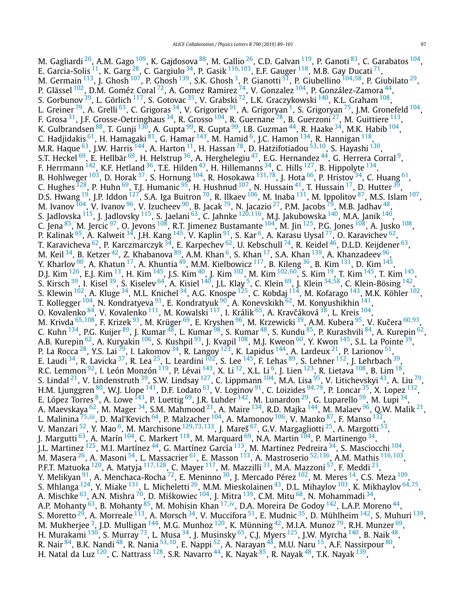M. Gagliardi <sup>26</sup>, A.M. Gago <sup>109</sup>, K. Gajdosova <sup>88</sup>, M. Gallio <sup>26</sup>, C.D. Galvan <sup>119</sup>, P. Ganoti <sup>83</sup>, C. Garabatos <sup>104</sup>, E. Garcia-Solis [11,](#page-10-0) K. Garg [28,](#page-10-0) C. Gargiulo [34,](#page-10-0) P. Gasik [116](#page-11-0)*,*[103,](#page-11-0) E.F. Gauger [118](#page-11-0), M.B. Gay Ducati [71](#page-11-0), M. Germain [113,](#page-11-0) J. Ghosh [107,](#page-11-0) P. Ghosh [139,](#page-11-0) S.K. Ghosh [3,](#page-10-0) P. Gianotti [51,](#page-10-0) P. Giubellino [104](#page-11-0)*,*[58,](#page-10-0) P. Giubilato [29,](#page-10-0) P. Glässel <sup>102</sup>, D.M. Goméz Coral <sup>72</sup>, A. Gomez Ramirez <sup>74</sup>, V. Gonzalez <sup>104</sup>, P. González-Zamora <sup>44</sup>, S. Gorbunov <sup>39</sup>, L. Görlich <sup>117</sup>, S. Gotovac <sup>35</sup>, V. Grabski <sup>[72](#page-11-0)</sup>, L.K. Graczykowski <sup>[140](#page-11-0)</sup>, K.L. Graham <sup>108</sup>, L. Greiner<sup>79</sup>, A. Grelli<sup>63</sup>, C. Grigoras<sup>34</sup>, V. Grigoriev<sup>9[1](#page-10-0)</sup>, A. Grigoryan<sup>1</sup>, S. Grigoryan<sup>75</sup>, J.M. Gronefeld <sup>104</sup>, F. Grosa [31,](#page-10-0) J.F. Grosse-Oetringhaus [34,](#page-10-0) R. Grosso [104,](#page-11-0) R. Guernane [78,](#page-11-0) B. Guerzoni [27,](#page-10-0) M. Guittiere [113,](#page-11-0) K. Gulbrandsen <sup>88</sup>, T. Gunji <sup>130</sup>, A. Gupta <sup>99</sup>, R. Gupta <sup>99</sup>, I.B. Guzman <sup>44</sup>, R. Haake <sup>34</sup>, M.K. Habib <sup>104</sup>, C. Hadjidakis <sup>61</sup>, H. Hamagaki <sup>81</sup>, G. Hamar <sup>143</sup>, M. Hamid <sup>6</sup>, J.C. Hamon <sup>134</sup>, R. Hannigan <sup>118</sup>, M.R. Haque [63,](#page-10-0) J.W. Harris [144,](#page-11-0) A. Harton [11,](#page-10-0) H. Hassan [78,](#page-11-0) D. Hatzifotiadou [53](#page-10-0)*,*[10,](#page-10-0) S. Hayashi [130,](#page-11-0) S.T. Heckel  $^{69}$ , E. Hellbär  $^{69}$ , H. Helstrup  $^{36}$ , A. Herghelegiu  $^{47}$  $^{47}$  $^{47}$ , E.G. Hernandez  $^{44}$ , G. Herrera Corral  $^{9}$ , F. Herrmann  $^{142}$ , K.F. Hetland  $^{36}$ , T.E. Hilden  $^{43}$ , H. Hillemanns  $^{34}$ , C. Hills  $^{127}$  $^{127}$  $^{127}$ , B. Hippolyte  $^{134}$ , B. Hohlweger <sup>103</sup>, D. Horak <sup>37</sup>, S. Hornung <sup>104</sup>, R. Hosokawa <sup>[131](#page-11-0),78</sup>, J. Hota <sup>66</sup>, P. Hristov <sup>34</sup>, C. Huang <sup>61</sup>, C. Hughes  $^{128}$ , P. Huhn  $^{69}$ , T.J. Humanic  $^{95}$ , H. Hushnud  $^{107}$ , N. Hussain  $^{41}$ , T. Hussain  $^{17}$ , D. Hutter  $^{39}$ , D.S. Hwang <sup>19</sup>, J.P. Iddon <sup>127</sup>, S.A. Iga Buitron <sup>70</sup>, R. Ilkaev <sup>106</sup>, M. Inaba <sup>131</sup>, M. Ippolitov <sup>87</sup>, M.S. Islam <sup>107</sup>, M. Ivanov  $^{104}$ , V. Ivanov  $^{96}$ , V. Izucheev  $^{90}$ , B. Jacak  $^{79}$ , N. Jacazio  $^{27}$ , P.M. Jacobs  $^{79}$ , M.B. Jadhav  $^{48}$ , S. Jadlovska [115,](#page-11-0) J. Jadlovsky [115,](#page-11-0) S. Jaelani [63,](#page-10-0) C. Jahnke [120](#page-11-0)*,*[116,](#page-11-0) M.J. Jakubowska [140,](#page-11-0) M.A. Janik [140,](#page-11-0) C. Jena  $^{85}$ , M. Jercic  $^{97}$ , O. Jevons  $^{108}$  $^{108}$  $^{108}$ , R.T. Jimenez Bustamante  $^{104}$  $^{104}$  $^{104}$ , M. Jin  $^{125}$ , P.G. Jones  $^{108}$ , A. Jusko  $^{108}$ , P. Kalinak <sup>65</sup>, A. Kalweit <sup>34</sup>, J.H. Kang <sup>145</sup>, V. Kaplin <sup>91</sup>, S. Kar <sup>6</sup>, A. Karasu Uysal <sup>77</sup>, O. Karavichev <sup>62</sup>, T. Karavicheva  $^{62}$ , P. Karczmarczyk  $^{34}$ , E. Karpechev  $^{62}$ , U. Kebschull  $^{74}$ , R. Keidel  $^{46}$ , D.L.D. Keijdener  $^{63}$ , M. Keil $^{34}$ , B. Ketzer $^{42}$ , Z. Khabanova $^{89}$ , A.M. Khan $^6$ , S. Khan $^{17}$ , S.A. Khan $^{139}$ , A. Khanzadeev $^{96}$ , Y. Kharlov  $^{90}$ , A. Khatun  $^{17}$ , A. Khuntia  $^{49}$  $^{49}$  $^{49}$ , M.M. Kielbowicz  $^{117}$ , B. Kileng  $^{36}$  $^{36}$  $^{36}$ , B. Kim  $^{131}$ , D. Kim  $^{145}$ , D.J. Kim [126,](#page-11-0) E.J. Kim [13,](#page-10-0) H. Kim [145](#page-11-0), J.S. Kim [40,](#page-10-0) J. Kim [102,](#page-11-0) M. Kim [102](#page-11-0)*,*[60,](#page-10-0) S. Kim [19,](#page-10-0) T. Kim [145,](#page-11-0) T. Kim [145,](#page-11-0) S. Kirsch [39,](#page-10-0) I. Kisel [39,](#page-10-0) S. Kiselev [64,](#page-10-0) A. Kisiel [140](#page-11-0), J.L. Klay [5,](#page-10-0) C. Klein [69,](#page-10-0) J. Klein [34](#page-10-0)*,*[58,](#page-10-0) C. Klein-Bösing [142](#page-11-0), S. Klewin  $^{102}$ , A. Kluge  $^{34}$ , M.L. Knichel  $^{34}$ , A.G. Knospe  $^{125}$ , C. Kobdaj  $^{114}$ , M. Kofarago  $^{143}$ , M.K. Köhler  $^{102}$ , T. Kollegger <sup>[104](#page-11-0)</sup>, N. Kondratyeva <sup>91</sup>, E. Kondratyuk <sup>[90](#page-11-0)</sup>, A. Konevskikh <sup>62</sup>, M. Konyushikhin <sup>141</sup>, O. Kovalenko  $^{84}$ , V. Kovalenko  $^{111}$ , M. Kowalski  $^{117}$ , I. Králik  $^{65}$ , A. Kravčáková  $^{38}$ , L. Kreis  $^{104},$  $^{104},$  $^{104},$ M. Krivda <sup>[65](#page-10-0),108</sup>, F. Krizek <sup>[93](#page-11-0)</sup>, M. Krüger <sup>69</sup>, E. Kryshen <sup>96</sup>, M. Krzewicki <sup>[39](#page-10-0)</sup>, A.M. Kubera <sup>95</sup>, V. Kučera <sup>[60](#page-10-0),93</sup>, C. Kuhn <sup>134</sup>, P.G. Kuijer <sup>89</sup>, J. Kumar <sup>48</sup>, L. Kumar <sup>98</sup>, S. Kumar <sup>48</sup>, S. Kundu <sup>85</sup>, P. Kurashvili <sup>84</sup>, A. Kurepin <sup>[62](#page-10-0)</sup>, A.B. Kurepin <sup>62</sup>, A. Kuryakin <sup>[106](#page-11-0)</sup>, S. Kushpil <sup>93</sup>, J. Kvapil <sup>108</sup>, M.J. Kweon <sup>[60](#page-10-0)</sup>, Y. Kwon <sup>145</sup>, S.L. La Pointe <sup>39</sup>, P. La Rocca  $^{28}$  $^{28}$  $^{28}$ , Y.S. Lai  $^{79}$ , I. Lakomov  $^{34}$ , R. Langoy  $^{123}$ , K. Lapidus  $^{144}$ , A. Lardeux  $^{21}$ , P. Larionov  $^{51}$ , E. Laudi  $^{34}$  $^{34}$  $^{34}$ , R. Lavicka  $^{37}$ , R. Lea  $^{25}$ , L. Leardini  $^{102}$ , S. Lee  $^{145}$ , F. Lehas  $^{89}$ , S. Lehner  $^{112}$  $^{112}$  $^{112}$ , J. Lehrbach  $^{39}$ , R.C. Lemmon  $^{92}$ , I. León Monzón  $^{119}$  $^{119}$  $^{119}$ , P. Lévai  $^{143}$ , X. Li  $^{12}$ , X.L. Li  $^6$ , J. Lien  $^{123}$ , R. Lietava  $^{108}$  $^{108}$  $^{108}$ , B. Lim  $^{18}$ , S. Lindal $^{21}$ , V. Lindenstruth $^{39}$ , S.W. Lindsay  $^{127}$ , C. Lippmann  $^{104}$ , M.A. Lisa $^{95}$ , V. Litichevskyi $^{43}$ , A. Liu $^{79}$ , H.M. Ljunggren [80,](#page-11-0) W.J. Llope [141,](#page-11-0) D.F. Lodato [63](#page-10-0), V. Loginov [91,](#page-11-0) C. Loizides [94](#page-11-0)*,*[79,](#page-11-0) P. Loncar [35,](#page-10-0) X. Lopez [132,](#page-11-0) E. López Torres <sup>8</sup>, A. Lowe <sup>143</sup>, P. Luettig <sup>69</sup>, J.R. Luhder <sup>142</sup>, M. Lunardon <sup>29</sup>, G. Luparello <sup>59</sup>, M. Lupi <sup>34</sup>, A. Maevskaya  $^{62}$  $^{62}$  $^{62}$ , M. Mager  $^{34}$ , S.M. Mahmood  $^{21}$ , A. Maire  $^{134}$ , R.D. Majka  $^{144}$ , M. Malaev  $^{96}$ , Q.W. Malik  $^{21}$ , L. Malinina [75](#page-11-0)*,*[iii,](#page-12-0) D. Mal'Kevich [64,](#page-10-0) P. Malzacher [104,](#page-11-0) A. Mamonov [106](#page-11-0), V. Manko [87,](#page-11-0) F. Manso [132](#page-11-0), V. Manzari [52,](#page-10-0) Y. Mao [6,](#page-10-0) M. Marchisone [129](#page-11-0)*,*[73](#page-11-0)*,*[133](#page-11-0), J. Mareš [67,](#page-10-0) G.V. Margagliotti [25,](#page-10-0) A. Margotti [53](#page-10-0), J. Margutti  $^{63}$ , A. Marín  $^{104}$  $^{104}$  $^{104}$ , C. Markert  $^{118}$ , M. Marquard  $^{69}$ , N.A. Martin  $^{104}$ , P. Martinengo  $^{34}$ , J.L. Martinez <sup>125</sup>, M.I. Martínez <sup>44</sup>, G. Martínez García <sup>113</sup>, M. Martinez Pedreira <sup>34</sup>, S. Masciocchi <sup>104</sup>, M. Masera [26,](#page-10-0) A. Masoni [54,](#page-10-0) L. Massacrier [61,](#page-10-0) E. Masson [113,](#page-11-0) A. Mastroserio [52](#page-10-0)*,*[136,](#page-11-0) A.M. Mathis [116](#page-11-0)*,*[103,](#page-11-0) P.F.T. Matuoka [120](#page-11-0), A. Matyja [117](#page-11-0)*,*[128,](#page-11-0) C. Mayer [117,](#page-11-0) M. Mazzilli [33,](#page-10-0) M.A. Mazzoni [57](#page-10-0), F. Meddi [23,](#page-10-0) Y. Melikyan <sup>91</sup>, A. Menchaca-Rocha <sup>72</sup>, E. Meninno <sup>30</sup>, J. Mercado Pérez <sup>102</sup>, M. Meres <sup>14</sup>, C.S. Meza <sup>109</sup>, S. Mhlanga [124,](#page-11-0) Y. Miake [131,](#page-11-0) L. Micheletti [26](#page-10-0), M.M. Mieskolainen [43,](#page-10-0) D.L. Mihaylov [103,](#page-11-0) K. Mikhaylov [64](#page-10-0)*,*[75,](#page-11-0) A. Mischke  $^{63}$ , A.N. Mishra  $^{70}$ , D. Miśkowiec  $^{104}$ , J. Mitra  $^{139}$ , C.M. Mitu  $^{68}$ , N. Mohammadi  $^{34},$ A.P. Mohanty <sup>[63](#page-10-0)</sup>, B. Mohanty <sup>85</sup>, M. Mohisin Khan <sup>[17](#page-10-0),[iv](#page-12-0)</sup>, D.A. Moreira De Godoy <sup>142</sup>, L.A.P. Moreno <sup>44</sup>, S. Moretto <sup>29</sup>, A. Morreale <sup>113</sup>, A. Morsch <sup>34</sup>, V. Muccifora <sup>51</sup>, E. Mudnic <sup>35</sup>, D. Mühlheim <sup>142</sup>, S. Muhuri <sup>139</sup>, M. Mukherjee<sup>3</sup>, J.D. Mulligan<sup>[144](#page-11-0)</sup>, M.G. Munhoz<sup>120</sup>, K. Münning<sup>42</sup>, M.I.A. Munoz<sup>79</sup>, R.H. Munzer<sup>69</sup>, H. Murakami  $^{130}$ , S. Murray  $^{73}$  $^{73}$  $^{73}$ , L. Musa  $^{34}$ , J. Musinsky  $^{65}$ , C.J. Myers  $^{125}$ , J.W. Myrcha  $^{140}$ , B. Naik  $^{48},$ R. Nair [84,](#page-11-0) B.K. Nandi [48,](#page-10-0) R. Nania [53](#page-10-0)*,*[10,](#page-10-0) E. Nappi [52,](#page-10-0) A. Narayan [48,](#page-10-0) M.U. Naru [15,](#page-10-0) A.F. Nassirpour [80](#page-11-0), H. Natal da Luz  $^{120}$  $^{120}$  $^{120}$ , C. Nattrass  $^{128}$ , S.R. Navarro  $^{44}$ , K. Nayak  $^{85}$ , R. Nayak  $^{48}$ , T.K. Nayak  $^{139}$ ,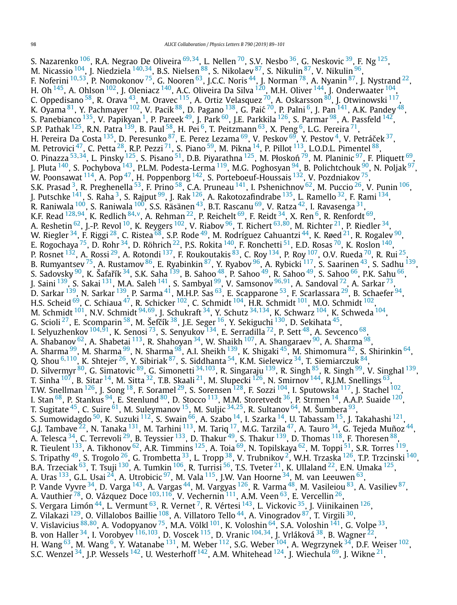S. Nazarenko [106,](#page-11-0) R.A. Negrao De Oliveira [69](#page-10-0)*,*[34,](#page-10-0) L. Nellen [70,](#page-11-0) S.V. Nesbo [36](#page-10-0), G. Neskovic [39,](#page-10-0) F. Ng [125,](#page-11-0) M. Nicassio [104,](#page-11-0) J. Niedziela [140](#page-11-0)*,*[34,](#page-10-0) B.S. Nielsen [88,](#page-11-0) S. Nikolaev [87](#page-11-0), S. Nikulin [87,](#page-11-0) V. Nikulin [96,](#page-11-0) F. Noferini [10](#page-10-0)*,*[53,](#page-10-0) P. Nomokonov [75,](#page-11-0) G. Nooren [63,](#page-10-0) J.C.C. Noris [44,](#page-10-0) J. Norman [78](#page-11-0), A. Nyanin [87,](#page-11-0) J. Nystrand [22,](#page-10-0) H. Oh  $^{145}$ , A. Ohlson  $^{102}$ , J. Oleniacz  $^{140}$ , A.C. Oliveira Da Silva  $^{120}$ , M.H. Oliver  $^{144}$  $^{144}$  $^{144}$ , J. Onderwaater  $^{104}$  $^{104}$  $^{104}$ , C. Oppedisano <sup>[58](#page-10-0)</sup>, R. Orava <sup>43</sup>, M. Oravec <sup>115</sup>, A. Ortiz Velasquez <sup>70</sup>, A. Oskarsson <sup>80</sup>, J. Otwinowski <sup>117</sup>, K. Oyama $^{81}$ , Y. Pachmayer  $^{102}$ , V. Pacik $^{88}$ , D. Pagano  $^{138}$ , G. Paić  $^{70}$ , P. Palni  $^6$ , J. Pan  $^{141}$ , A.K. Pandey  $^{48}$ , S. Panebianco  $^{135}$ , V. Papikyan <sup>1</sup>, P. Pareek  $^{49}$ , J. Park  $^{60}$ , J.E. Parkkila  $^{126}$ , S. Parmar  $^{98}$  $^{98}$  $^{98}$ , A. Passfeld  $^{142}$ , S.P. Pathak  $^{125}$ , R.N. Patra  $^{139}$ , B. Paul  $^{58}$ , H. Pei  $^6$ , T. Peitzmann  $^{63}$ , X. Peng  $^6$ , L.G. Pereira  $^{71}$  $^{71}$  $^{71}$ , H. Pereira Da Costa $^{135}$ , D. Peresunko $^{87}$ , E. Perez Lezama $^{69}$  $^{69}$  $^{69}$ , V. Peskov $^{69}$ , Y. Pestov $^4$ , V. Petráček $^{37},$ M. Petrovici  $^{47}$  $^{47}$  $^{47}$ , C. Petta  $^{28}$ , R.P. Pezzi  $^{71}$ , S. Piano  $^{59}$ , M. Pikna  $^{14}$ , P. Pillot  $^{113}$  $^{113}$  $^{113}$ , L.O.D.L. Pimentel  $^{88}$ , O. Pinazza <sup>[53](#page-10-0),34</sup>, L. Pinsky <sup>125</sup>, S. Pisano <sup>51</sup>, D.B. Piyarathna <sup>125</sup>, M. Płoskoń <sup>[79](#page-11-0)</sup>, M. Planinic <sup>[97](#page-11-0)</sup>, F. Pliquett <sup>69</sup>, J. Pluta <sup>140</sup>, S. Pochybova <sup>143</sup>, P.L.M. Podesta-Lerma <sup>119</sup>, M.G. Poghosyan <sup>94</sup>, B. Polichtchouk <sup>90</sup>, N. Poljak <sup>97</sup>, W. Poonsawat  $^{114}$ , A. Pop $^{47}$ , H. Poppenborg  $^{142}$ , S. Porteboeuf-Houssais  $^{132}$ , V. Pozdniakov  $^{75},$ S.K. Prasad <sup>3</sup>, R. Preghenella  $^{53}$ , F. Prino  $^{58}$  $^{58}$  $^{58}$ , C.A. Pruneau  $^{141}$ , I. Pshenichnov  $^{62}$ , M. Puccio  $^{26}$ , V. Punin  $^{106}$ , J. Putschke <sup>141</sup>, S. Raha <sup>3</sup>, S. Rajput <sup>[99](#page-11-0)</sup>, J. Rak <sup>126</sup>, A. Rakotozafindrabe <sup>135</sup>, L. Ramello <sup>32</sup>, F. Rami <sup>134</sup>, R. Raniwala  $^{100}$ , S. Raniwala  $^{100}$ , S.S. Räsänen $^{43}$ , B.T. Rascanu  $^{69}$ , V. Ratza $^{42}$ , I. Ravasenga  $^{31}$  $^{31}$  $^{31}$ , K.F. Read [128](#page-11-0)*,*[94,](#page-11-0) K. Redlich [84](#page-11-0)*,*[v,](#page-12-0) A. Rehman [22,](#page-10-0) P. Reichelt [69,](#page-10-0) F. Reidt [34](#page-10-0), X. Ren [6](#page-10-0), R. Renfordt [69](#page-10-0), A. Reshetin [62,](#page-10-0) J.-P. Revol [10,](#page-10-0) K. Reygers [102,](#page-11-0) V. Riabov [96,](#page-11-0) T. Richert [63](#page-10-0)*,*[80,](#page-11-0) M. Richter [21,](#page-10-0) P. Riedler [34,](#page-10-0) W. Riegler  $^{34}$ , F. Riggi  $^{28}$ , C. Ristea  $^{68}$ , S.P. Rode  $^{49}$  $^{49}$  $^{49}$ , M. Rodríguez Cahuantzi  $^{44}$ , K. Røed  $^{21}$ , R. Rogalev  $^{90}$ , E. Rogochaya  $^{75}$ , D. Rohr $^{34}$ , D. Röhrich  $^{22}$ , P.S. Rokita  $^{140}$ , F. Ronchetti  $^{51}$ , E.D. Rosas  $^{70}$ , K. Roslon  $^{140}$ , P. Rosnet  $^{132}$ , A. Rossi  $^{29}$ , A. Rotondi  $^{137}$ , F. Roukoutakis  $^{83}$ , C. Roy  $^{134}$ , P. Roy  $^{107}$ , O.V. Rueda  $^{70}$ , R. Rui  $^{25}$  $^{25}$  $^{25}$ , B. Rumyantsev <sup>75</sup>, A. Rustamov <sup>[86](#page-11-0)</sup>, E. Ryabinkin <sup>[87](#page-11-0)</sup>, Y. Ryabov <sup>96</sup>, A. Rybicki <sup>[117](#page-11-0)</sup>, S. Saarinen <sup>43</sup>, S. Sadhu <sup>[139](#page-11-0)</sup>, S. Sadovsky <sup>90</sup>, K. Šafařík <sup>34</sup>, S.K. Saha <sup>139</sup>, B. Sahoo <sup>48</sup>, P. Sahoo <sup>49</sup>, R. Sahoo <sup>49</sup>, S. Sahoo <sup>66</sup>, P.K. Sahu <sup>66</sup>, J. Saini [139,](#page-11-0) S. Sakai [131,](#page-11-0) M.A. Saleh [141,](#page-11-0) S. Sambyal [99,](#page-11-0) V. Samsonov [96](#page-11-0)*,*[91,](#page-11-0) A. Sandoval [72,](#page-11-0) A. Sarkar [73,](#page-11-0) D. Sarkar <sup>139</sup>, N. Sarkar <sup>139</sup>, P. Sarma <sup>41</sup>, M.H.P. Sas <sup>63</sup>, E. Scapparone <sup>53</sup>, F. Scarlassara <sup>29</sup>, B. Schaefer <sup>94</sup>, H.S. Scheid <sup>69</sup>, C. Schiaua <sup>47</sup>, R. Schicker <sup>102</sup>, C. Schmidt <sup>104</sup>, H.R. Schmidt <sup>101</sup>, M.O. Schmidt <sup>102</sup>, M. Schmidt [101,](#page-11-0) N.V. Schmidt [94](#page-11-0)*,*[69,](#page-10-0) J. Schukraft [34,](#page-10-0) Y. Schutz [34](#page-10-0)*,*[134,](#page-11-0) K. Schwarz [104,](#page-11-0) K. Schweda [104,](#page-11-0) G. Scioli <sup>27</sup>, E. Scomparin <sup>58</sup>, M. Šefčík <sup>38</sup>, J.E. Seger <sup>16</sup>, Y. Sekiguchi <sup>130</sup>, D. Sekihata <sup>45</sup>, I. Selyuzhenkov [104](#page-11-0)*,*[91,](#page-11-0) K. Senosi [73,](#page-11-0) S. Senyukov [134,](#page-11-0) E. Serradilla [72,](#page-11-0) P. Sett [48,](#page-10-0) A. Sevcenco [68,](#page-10-0) A. Shabanov  $^{62}$ , A. Shabetai  $^{113}$ , R. Shahoyan  $^{34}$ , W. Shaikh  $^{107}$ , A. Shangaraev  $^{90}$ , A. Sharma  $^{98},$ A. Sharma <sup>[99](#page-11-0)</sup>, M. Sharma <sup>99</sup>, N. Sharma <sup>98</sup>, A.I. Sheikh <sup>139</sup>, K. Shigaki <sup>45</sup>, M. Shimomura <sup>82</sup>, S. Shirinkin <sup>64</sup>, Q. Shou [6](#page-10-0)*,*[110,](#page-11-0) K. Shtejer [26,](#page-10-0) Y. Sibiriak [87,](#page-11-0) S. Siddhanta [54,](#page-10-0) K.M. Sielewicz [34,](#page-10-0) T. Siemiarczuk [84,](#page-11-0) D. Silvermyr [80,](#page-11-0) G. Simatovic [89,](#page-11-0) G. Simonetti [34](#page-10-0)*,*[103,](#page-11-0) R. Singaraju [139,](#page-11-0) R. Singh [85,](#page-11-0) R. Singh [99,](#page-11-0) V. Singhal [139,](#page-11-0) T. Sinha  $^{107}$ , B. Sitar  $^{14}$ , M. Sitta  $^{32}$  $^{32}$  $^{32}$ , T.B. Skaali  $^{21}$ , M. Slupecki  $^{126}$  $^{126}$  $^{126}$ , N. Smirnov  $^{144}$ , R.J.M. Snellings  $^{63}$ , T.W. Snellman  $^{126}$  $^{126}$  $^{126}$ , J. Song  $^{18}$ , F. Soramel  $^{29}$ , S. Sorensen  $^{128}$  $^{128}$  $^{128}$ , F. Sozzi  $^{104}$  $^{104}$  $^{104}$ , I. Sputowska  $^{117}$  $^{117}$  $^{117}$ , J. Stachel  $^{102}$ , I. Stan  $^{68}$ , P. Stankus  $^{94}$ , E. Stenlund  $^{80}$ , D. Stocco  $^{113}$ , M.M. Storetvedt  $^{36}$ , P. Strmen  $^{14}$ , A.A.P. Suaide  $^{120}$  $^{120}$  $^{120}$ , T. Sugitate [45,](#page-10-0) C. Suire [61,](#page-10-0) M. Suleymanov [15,](#page-10-0) M. Suljic [34](#page-10-0)*,*[25,](#page-10-0) R. Sultanov [64](#page-10-0), M. Šumbera [93,](#page-11-0) S. Sumowidagdo <sup>50</sup>, K. Suzuki <sup>112</sup>, S. Swain <sup>66</sup>, A. Szabo <sup>14</sup>, I. Szarka <sup>14</sup>, U. Tabassam <sup>15</sup>, J. Takahashi <sup>121</sup>, G.J. Tambave  $^{22}$  $^{22}$  $^{22}$ , N. Tanaka  $^{131}$ , M. Tarhini  $^{113}$ , M. Tariq  $^{17}$ , M.G. Tarzila  $^{47}$ , A. Tauro  $^{34}$ , G. Tejeda Muñoz  $^{44}$ , A. Telesca  $^{34}$ , C. Terrevoli  $^{29}$ , B. Teyssier  $^{133}$ , D. Thakur  $^{49}$ , S. Thakur  $^{139}$ , D. Thomas  $^{118}$ , F. Thoresen  $^{88},$ R. Tieulent <sup>133</sup>, A. Tikhonov <sup>62</sup>, A.R. Timmins <sup>125</sup>, A. Toia <sup>69</sup>, N. Topilskaya <sup>62</sup>, M. Toppi <sup>51</sup>, S.R. Torres <sup>[119](#page-11-0)</sup>, S. Tripathy  $^{49}$ , S. Trogolo  $^{26}$ , G. Trombetta  $^{33}$ , L. Tropp  $^{38}$  $^{38}$  $^{38}$ , V. Trubnikov  $^2$ , W.H. Trzaska  $^{126}$ , T.P. Trzcinski  $^{140}$ , B.A. Trzeciak  $^{63}$ , T. Tsuji  $^{130}$ , A. Tumkin  $^{106}$ , R. Turrisi  $^{56}$ , T.S. Tveter  $^{21}$ , K. Ullaland  $^{22}$ , E.N. Umaka  $^{125}$ , A. Uras  $^{133}$ , G.L. Usai  $^{24}$ , A. Utrobicic  $^{97}$ , M. Vala  $^{115}$ , J.W. Van Hoorne  $^{34}$ , M. van Leeuwen  $^{63},$ P. Vande Vyvre <sup>34</sup>, D. Varga <sup>[143](#page-11-0)</sup>, A. Vargas <sup>44</sup>, M. Vargyas <sup>126</sup>, R. Varma <sup>48</sup>, M. Vasileiou <sup>[83](#page-11-0)</sup>, A. Vasiliev <sup>87</sup>, A. Vauthier [78](#page-11-0), O. Vázquez Doce [103](#page-11-0)*,*[116,](#page-11-0) V. Vechernin [111,](#page-11-0) A.M. Veen [63,](#page-10-0) E. Vercellin [26,](#page-10-0) S. Vergara Limón $^{44}$ , L. Vermunt $^{63}$ , R. Vernet  $^7$ , R. Vértesi  $^{143}$  $^{143}$  $^{143}$ , L. Vickovic  $^{35}$ , J. Viinikainen  $^{126},$ Z. Vilakazi <sup>[129](#page-11-0)</sup>, O. Villalobos Baillie <sup>108</sup>, A. Villatoro Tello <sup>44</sup>, A. Vinogradov <sup>87</sup>, T. Virgili <sup>30</sup>, V. Vislavicius <sup>[88](#page-11-0),80</sup>, A. Vodopyanov <sup>75</sup>, M.A. Völkl <sup>[101](#page-11-0)</sup>, K. Voloshin <sup>[64](#page-10-0)</sup>, S.A. Voloshin <sup>141</sup>, G. Volpe <sup>33</sup>, B. von Haller [34,](#page-10-0) I. Vorobyev [116](#page-11-0)*,*[103,](#page-11-0) D. Voscek [115,](#page-11-0) D. Vranic [104](#page-11-0)*,*[34,](#page-10-0) J. Vrláková [38,](#page-10-0) B. Wagner [22,](#page-10-0) H. Wang  $^{63}$ , M. Wang  $^6$ , Y. Watanabe  $^{131}$ , M. Weber  $^{112}$ , S.G. Weber  $^{104}$ , A. Wegrzynek  $^{34}$ , D.F. Weiser  $^{102}$  $^{102}$  $^{102}$ , S.C. Wenzel  $^{34}$ , J.P. Wessels  $^{142}$ , U. Westerhoff  $^{142}$ , A.M. Whitehead  $^{124}$ , J. Wiechula  $^{69}$ , J. Wikne  $^{21}$ ,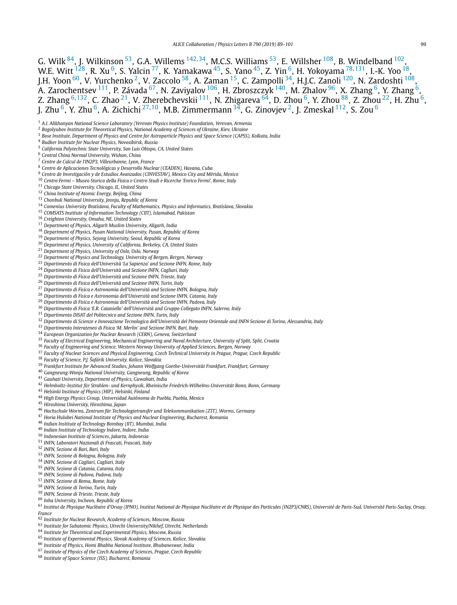<span id="page-10-0"></span>G. Wilk [84,](#page-11-0) J. Wilkinson 53, G.A. Willems [142](#page-11-0)*,*34, M.C.S. Williams 53, E. Willsher [108,](#page-11-0) B. Windelband [102,](#page-11-0) W.E. Witt [128](#page-11-0), R. Xu 6, S. Yalcin [77,](#page-11-0) K. Yamakawa 45, S. Yano 45, Z. Yin 6, H. Yokoyama [78](#page-11-0)*,*[131,](#page-11-0) I.-K. Yoo 18, J.H. Yoon  $^{60}$ , V. Yurchenko <sup>2</sup>, V. Zaccolo <sup>58</sup>, A. Zaman <sup>15</sup>, C. Zampolli <sup>34</sup>, H.J.C. Zanoli <sup>120</sup>, N. Zardoshti <sup>108</sup>, A. Zarochentsev <sup>111</sup>, P. Závada <sup>67</sup>, N. Zaviyalov <sup>106</sup>, H. Zbroszczyk <sup>140</sup>, M. Zhalov <sup>[96](#page-11-0)</sup>, X. Zhang <sup>6</sup>, Y. Zhang <sup>6</sup>, Z. Zhang <sup>6,132</sup>, C. Zhao <sup>21</sup>, V. Zherebchevskii <sup>111</sup>, N. Zhigareva <sup>64</sup>, D. Zhou <sup>6</sup>, Y. Zhou <sup>88</sup>, Z. Zhou <sup>22</sup>, H. Zhu <sup>6</sup>, J. Zhu 6, Y. Zhu 6, A. Zichichi <sup>27</sup>*,*10, M.B. Zimmermann 34, G. Zinovjev 2, J. Zmeskal [112,](#page-11-0) S. Zou <sup>6</sup>

<sup>3</sup> Bose Institute, Department of Physics and Centre for Astroparticle Physics and Space Science (CAPSS), Kolkata, India

- *California Polytechnic State University, San Luis Obispo, CA, United States*
- *Central China Normal University, Wuhan, China*
- *Centre de Calcul de l'IN2P3, Villeurbanne, Lyon, France*
- *Centro de Aplicaciones Tecnológicas y Desarrollo Nuclear (CEADEN), Havana, Cuba*
- *Centro de Investigación y de Estudios Avanzados (CINVESTAV), Mexico City and Mérida, Mexico*
- *Centro Fermi – Museo Storico della Fisica e Centro Studi e Ricerche 'Enrico Fermi', Rome, Italy*
- *Chicago State University, Chicago, IL, United States*
- *China Institute of Atomic Energy, Beijing, China*
- *Chonbuk National University, Jeonju, Republic of Korea*
- *Comenius University Bratislava, Faculty of Mathematics, Physics and Informatics, Bratislava, Slovakia*
- *COMSATS Institute of Information Technology (CIIT), Islamabad, Pakistan*
- *Creighton University, Omaha, NE, United States*
- *Department of Physics, Aligarh Muslim University, Aligarh, India*
- *Department of Physics, Pusan National University, Pusan, Republic of Korea*
- *Department of Physics, Sejong University, Seoul, Republic of Korea*
- 
- *Department of Physics, University of California, Berkeley, CA, United States*
- *Department of Physics, University of Oslo, Oslo, Norway*
- *Department of Physics and Technology, University of Bergen, Bergen, Norway*
- *Dipartimento di Fisica dell'Università 'La Sapienza' and Sezione INFN, Rome, Italy*
- *Dipartimento di Fisica dell'Università and Sezione INFN, Cagliari, Italy*
- *Dipartimento di Fisica dell'Università and Sezione INFN, Trieste, Italy*
- *Dipartimento di Fisica dell'Università and Sezione INFN, Turin, Italy*
- *Dipartimento di Fisica e Astronomia dell'Università and Sezione INFN, Bologna, Italy*
- *Dipartimento di Fisica e Astronomia dell'Università and Sezione INFN, Catania, Italy*
- *Dipartimento di Fisica e Astronomia dell'Università and Sezione INFN, Padova, Italy*
- *Dipartimento di Fisica 'E.R. Caianiello' dell'Università and Gruppo Collegato INFN, Salerno, Italy*
- *Dipartimento DISAT del Politecnico and Sezione INFN, Turin, Italy*
- <sup>32</sup> Dipartimento di Scienze e Innovazione Tecnologica dell'Università del Piemonte Orientale and INFN Sezione di Torino, Alessandria, Italy
- *Dipartimento Interateneo di Fisica 'M. Merlin' and Sezione INFN, Bari, Italy*
- *European Organization for Nuclear Research (CERN), Geneva, Switzerland*
- *Faculty of Electrical Engineering, Mechanical Engineering and Naval Architecture, University of Split, Split, Croatia*
- *Faculty of Engineering and Science, Western Norway University of Applied Sciences, Bergen, Norway*
- *Faculty of Nuclear Sciences and Physical Engineering, Czech Technical University in Prague, Prague, Czech Republic*
- *Faculty of Science, P.J. Šafárik University, Košice, Slovakia*
- *Frankfurt Institute for Advanced Studies, Johann Wolfgang Goethe-Universität Frankfurt, Frankfurt, Germany*
- *Gangneung-Wonju National University, Gangneung, Republic of Korea*
- *Gauhati University, Department of Physics, Guwahati, India*
- *Helmholtz-Institut für Strahlen- und Kernphysik, Rheinische Friedrich-Wilhelms-Universität Bonn, Bonn, Germany*
- *Helsinki Institute of Physics (HIP), Helsinki, Finland*
- *High Energy Physics Group, Universidad Autónoma de Puebla, Puebla, Mexico*
- *Hiroshima University, Hiroshima, Japan*
- *Hochschule Worms, Zentrum für Technologietransfer und Telekommunikation (ZTT), Worms, Germany*
- *Horia Hulubei National Institute of Physics and Nuclear Engineering, Bucharest, Romania*
- *Indian Institute of Technology Bombay (IIT), Mumbai, India*
- *Indian Institute of Technology Indore, Indore, India*
- *Indonesian Institute of Sciences, Jakarta, Indonesia*
- *INFN, Laboratori Nazionali di Frascati, Frascati, Italy*
- *INFN, Sezione di Bari, Bari, Italy*
- *INFN, Sezione di Bologna, Bologna, Italy*
- *INFN, Sezione di Cagliari, Cagliari, Italy*
- *INFN, Sezione di Catania, Catania, Italy*
- *INFN, Sezione di Padova, Padova, Italy*
- *INFN, Sezione di Roma, Rome, Italy*
- *INFN, Sezione di Torino, Turin, Italy*
- *INFN, Sezione di Trieste, Trieste, Italy*
- *Inha University, Incheon, Republic of Korea*
- 61 Institut de Physique Nucléaire d'Orsay (IPNO), Institut National de Physique Nucléaire et de Physique des Particules (IN2P3/CNRS), Université de Paris-Sud, Université Paris-Saclay, Orsay, *France*
- *Institute for Nuclear Research, Academy of Sciences, Moscow, Russia*
- *Institute for Subatomic Physics, Utrecht University/Nikhef, Utrecht, Netherlands*
- *Institute for Theoretical and Experimental Physics, Moscow, Russia*
- *Institute of Experimental Physics, Slovak Academy of Sciences, Košice, Slovakia*
- *Institute of Physics, Homi Bhabha National Institute, Bhubaneswar, India*
- *Institute of Physics of the Czech Academy of Sciences, Prague, Czech Republic*
- *Institute of Space Science (ISS), Bucharest, Romania*

*A.I. Alikhanyan National Science Laboratory (Yerevan Physics Institute) Foundation, Yerevan, Armenia*

*Bogolyubov Institute for Theoretical Physics, National Academy of Sciences of Ukraine, Kiev, Ukraine*

*Budker Institute for Nuclear Physics, Novosibirsk, Russia*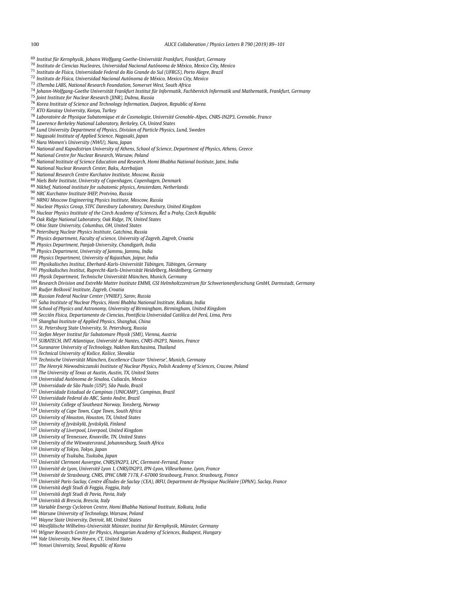- <span id="page-11-0"></span>*Institut für Kernphysik, Johann Wolfgang Goethe-Universität Frankfurt, Frankfurt, Germany*
- *Instituto de Ciencias Nucleares, Universidad Nacional Autónoma de México, Mexico City, Mexico*
- *Instituto de Física, Universidade Federal do Rio Grande do Sul (UFRGS), Porto Alegre, Brazil*
- *Instituto de Física, Universidad Nacional Autónoma de México, Mexico City, Mexico*
- *iThemba LABS, National Research Foundation, Somerset West, South Africa*
- *Johann-Wolfgang-Goethe Universität Frankfurt Institut für Informatik, Fachbereich Informatik und Mathematik, Frankfurt, Germany*
- *Joint Institute for Nuclear Research (JINR), Dubna, Russia*
- *Korea Institute of Science and Technology Information, Daejeon, Republic of Korea*
- *KTO Karatay University, Konya, Turkey*
- *Laboratoire de Physique Subatomique et de Cosmologie, Université Grenoble-Alpes, CNRS-IN2P3, Grenoble, France*
- *Lawrence Berkeley National Laboratory, Berkeley, CA, United States*
- *Lund University Department of Physics, Division of Particle Physics, Lund, Sweden*
- *Nagasaki Institute of Applied Science, Nagasaki, Japan*
- *Nara Women's University (NWU), Nara, Japan*
- *National and Kapodistrian University of Athens, School of Science, Department of Physics, Athens, Greece*
- *National Centre for Nuclear Research, Warsaw, Poland*
- *National Institute of Science Education and Research, Homi Bhabha National Institute, Jatni, India*
- *National Nuclear Research Center, Baku, Azerbaijan*
- *National Research Centre Kurchatov Institute, Moscow, Russia*
- *Niels Bohr Institute, University of Copenhagen, Copenhagen, Denmark*
- *Nikhef, National institute for subatomic physics, Amsterdam, Netherlands*
- *NRC Kurchatov Institute IHEP, Protvino, Russia*
- *NRNU Moscow Engineering Physics Institute, Moscow, Russia*
- *Nuclear Physics Group, STFC Daresbury Laboratory, Daresbury, United Kingdom*
- *Nuclear Physics Institute of the Czech Academy of Sciences, Rež ˇ u Prahy, Czech Republic*
- *Oak Ridge National Laboratory, Oak Ridge, TN, United States*
- *Ohio State University, Columbus, OH, United States*
- *Petersburg Nuclear Physics Institute, Gatchina, Russia*
- *Physics department, Faculty of science, University of Zagreb, Zagreb, Croatia*
- *Physics Department, Panjab University, Chandigarh, India*
- *Physics Department, University of Jammu, Jammu, India*
- *Physics Department, University of Rajasthan, Jaipur, India*
- *Physikalisches Institut, Eberhard-Karls-Universität Tübingen, Tübingen, Germany*
- *Physikalisches Institut, Ruprecht-Karls-Universität Heidelberg, Heidelberg, Germany*
- *Physik Department, Technische Universität München, Munich, Germany*
- 
- <sup>104</sup> Research Division and ExtreMe Matter Institute EMMI, GSI Helmholtzzentrum für Schwerionenforschung GmbH, Darmstadt, Germany
- *Rudjer Boškovi´c Institute, Zagreb, Croatia*
- *Russian Federal Nuclear Center (VNIIEF), Sarov, Russia*
- *Saha Institute of Nuclear Physics, Homi Bhabha National Institute, Kolkata, India*
- *School of Physics and Astronomy, University of Birmingham, Birmingham, United Kingdom*
- *Sección Física, Departamento de Ciencias, Pontificia Universidad Católica del Perú, Lima, Peru*
- *Shanghai Institute of Applied Physics, Shanghai, China*
- *St. Petersburg State University, St. Petersburg, Russia*
- *Stefan Meyer Institut für Subatomare Physik (SMI), Vienna, Austria*
- *SUBATECH, IMT Atlantique, Université de Nantes, CNRS-IN2P3, Nantes, France*
- *Suranaree University of Technology, Nakhon Ratchasima, Thailand*
- *Technical University of Košice, Košice, Slovakia*
- *Technische Universität München, Excellence Cluster 'Universe', Munich, Germany*
- *The Henryk Niewodniczanski Institute of Nuclear Physics, Polish Academy of Sciences, Cracow, Poland*
- *The University of Texas at Austin, Austin, TX, United States*
- *Universidad Autónoma de Sinaloa, Culiacán, Mexico*
- *Universidade de São Paulo (USP), São Paulo, Brazil*
- 
- *Universidade Estadual de Campinas (UNICAMP), Campinas, Brazil*
- *Universidade Federal do ABC, Santo Andre, Brazil*
- *University College of Southeast Norway, Tonsberg, Norway*
- *University of Cape Town, Cape Town, South Africa*
- *University of Houston, Houston, TX, United States*
- *University of Jyväskylä, Jyväskylä, Finland*
- *University of Liverpool, Liverpool, United Kingdom*
- *University of Tennessee, Knoxville, TN, United States*
- *University of the Witwatersrand, Johannesburg, South Africa*
- *University of Tokyo, Tokyo, Japan*
- *University of Tsukuba, Tsukuba, Japan*
- *Université Clermont Auvergne, CNRS/IN2P3, LPC, Clermont-Ferrand, France*
- *Université de Lyon, Université Lyon 1, CNRS/IN2P3, IPN-Lyon, Villeurbanne, Lyon, France*
- *Université de Strasbourg, CNRS, IPHC UMR 7178, F-67000 Strasbourg, France, Strasbourg, France*
- 135 Université Paris-Saclay, Centre dÉtudes de Saclay (CEA), IRFU, Department de Physique Nucléaire (DPhN), Saclay, France
- *Università degli Studi di Foggia, Foggia, Italy*
- *Università degli Studi di Pavia, Pavia, Italy*
- *Università di Brescia, Brescia, Italy*
- *Variable Energy Cyclotron Centre, Homi Bhabha National Institute, Kolkata, India*
- *Warsaw University of Technology, Warsaw, Poland*
- *Wayne State University, Detroit, MI, United States*
- *Westfälische Wilhelms-Universität Münster, Institut für Kernphysik, Münster, Germany*
- *Wigner Research Centre for Physics, Hungarian Academy of Sciences, Budapest, Hungary*
- *Yale University, New Haven, CT, United States*
- *Yonsei University, Seoul, Republic of Korea*